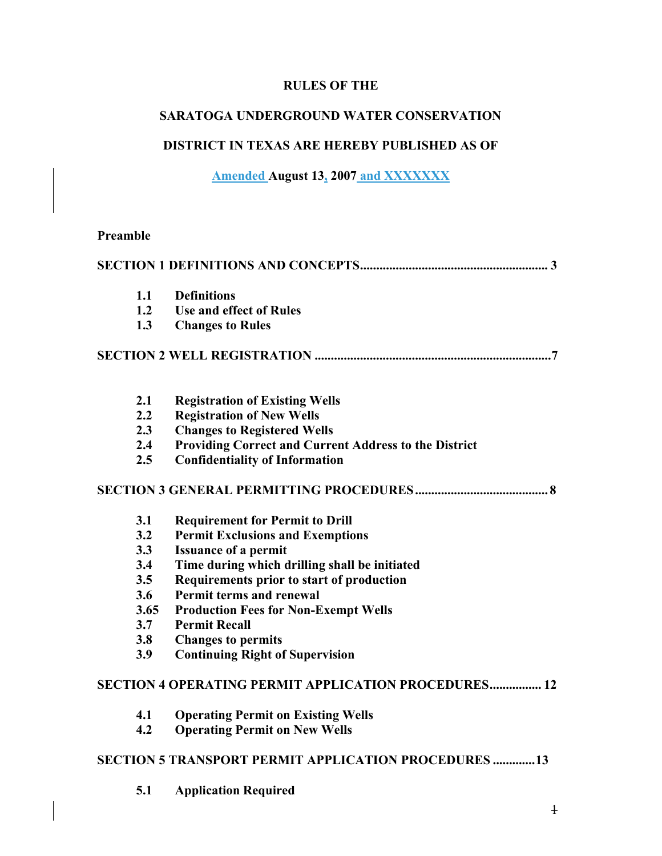# **RULES OF THE**

# **SARATOGA UNDERGROUND WATER CONSERVATION**

# **DISTRICT IN TEXAS ARE HEREBY PUBLISHED AS OF**

# **Amended August 13, 2007 and XXXXXXX**

#### **Preamble**

| 1.1  | <b>Definitions</b>                                           |
|------|--------------------------------------------------------------|
| 1.2  | <b>Use and effect of Rules</b>                               |
| 1.3  | <b>Changes to Rules</b>                                      |
|      |                                                              |
| 2.1  | <b>Registration of Existing Wells</b>                        |
| 2.2  | <b>Registration of New Wells</b>                             |
| 2.3  | <b>Changes to Registered Wells</b>                           |
| 2.4  | Providing Correct and Current Address to the District        |
| 2.5  | <b>Confidentiality of Information</b>                        |
|      |                                                              |
| 3.1  | <b>Requirement for Permit to Drill</b>                       |
| 3.2  | <b>Permit Exclusions and Exemptions</b>                      |
| 3.3  | <b>Issuance of a permit</b>                                  |
| 3.4  | Time during which drilling shall be initiated                |
| 3.5  | Requirements prior to start of production                    |
| 3.6  | Permit terms and renewal                                     |
| 3.65 | <b>Production Fees for Non-Exempt Wells</b>                  |
| 3.7  | <b>Permit Recall</b>                                         |
| 3.8  | <b>Changes to permits</b>                                    |
| 3.9  | <b>Continuing Right of Supervision</b>                       |
|      | SECTION 4 OPERATING PERMIT APPLICATION PROCEDURES 12         |
| 4.1  | <b>Operating Permit on Existing Wells</b>                    |
| 4.2  | <b>Operating Permit on New Wells</b>                         |
|      | <b>SECTION 5 TRANSPORT PERMIT APPLICATION PROCEDURES  13</b> |
| 5.1  | <b>Application Required</b>                                  |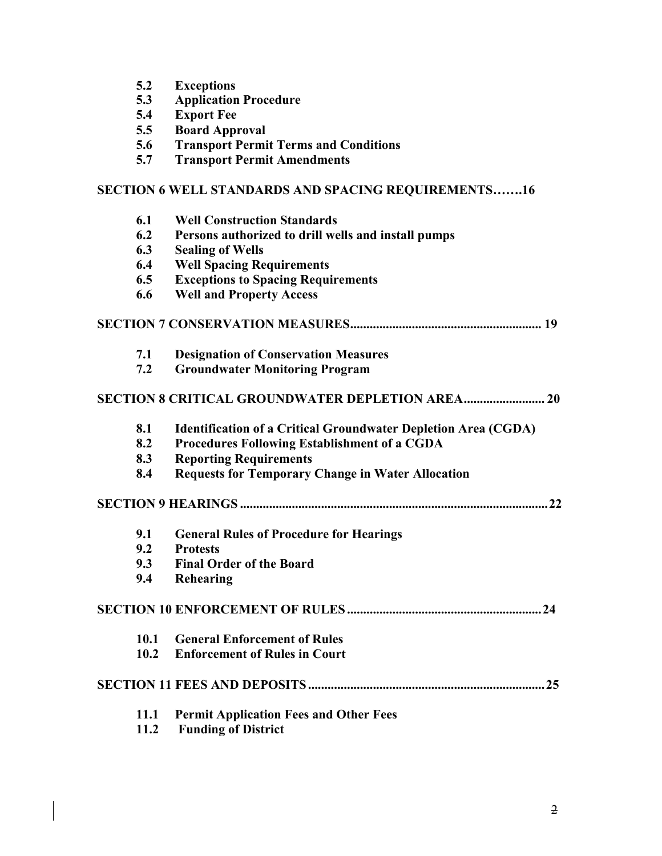| 5.2 | <b>Exceptions</b> |
|-----|-------------------|
|-----|-------------------|

- **5.3 Application Procedure**
- **5.4 Export Fee**
- **5.5 Board Approval**
- **5.6 Transport Permit Terms and Conditions**
- **5.7 Transport Permit Amendments**

### **SECTION 6 WELL STANDARDS AND SPACING REQUIREMENTS…….16**

| 6.1  | <b>Well Construction Standards</b>                                    |  |  |  |  |  |  |
|------|-----------------------------------------------------------------------|--|--|--|--|--|--|
| 6.2  | Persons authorized to drill wells and install pumps                   |  |  |  |  |  |  |
| 6.3  | <b>Sealing of Wells</b>                                               |  |  |  |  |  |  |
| 6.4  | <b>Well Spacing Requirements</b>                                      |  |  |  |  |  |  |
| 6.5  | <b>Exceptions to Spacing Requirements</b>                             |  |  |  |  |  |  |
| 6.6  | <b>Well and Property Access</b>                                       |  |  |  |  |  |  |
|      |                                                                       |  |  |  |  |  |  |
| 7.1  | <b>Designation of Conservation Measures</b>                           |  |  |  |  |  |  |
| 7.2  | <b>Groundwater Monitoring Program</b>                                 |  |  |  |  |  |  |
|      |                                                                       |  |  |  |  |  |  |
| 8.1  | <b>Identification of a Critical Groundwater Depletion Area (CGDA)</b> |  |  |  |  |  |  |
| 8.2  | <b>Procedures Following Establishment of a CGDA</b>                   |  |  |  |  |  |  |
| 8.3  | <b>Reporting Requirements</b>                                         |  |  |  |  |  |  |
| 8.4  | <b>Requests for Temporary Change in Water Allocation</b>              |  |  |  |  |  |  |
|      |                                                                       |  |  |  |  |  |  |
| 9.1  | <b>General Rules of Procedure for Hearings</b>                        |  |  |  |  |  |  |
| 9.2  | <b>Protests</b>                                                       |  |  |  |  |  |  |
| 9.3  | <b>Final Order of the Board</b>                                       |  |  |  |  |  |  |
| 9.4  | Rehearing                                                             |  |  |  |  |  |  |
|      |                                                                       |  |  |  |  |  |  |
| 10.1 | <b>General Enforcement of Rules</b>                                   |  |  |  |  |  |  |
| 10.2 | <b>Enforcement of Rules in Court</b>                                  |  |  |  |  |  |  |
|      |                                                                       |  |  |  |  |  |  |
| 11.1 | <b>Permit Application Fees and Other Fees</b>                         |  |  |  |  |  |  |
| 11.2 | <b>Funding of District</b>                                            |  |  |  |  |  |  |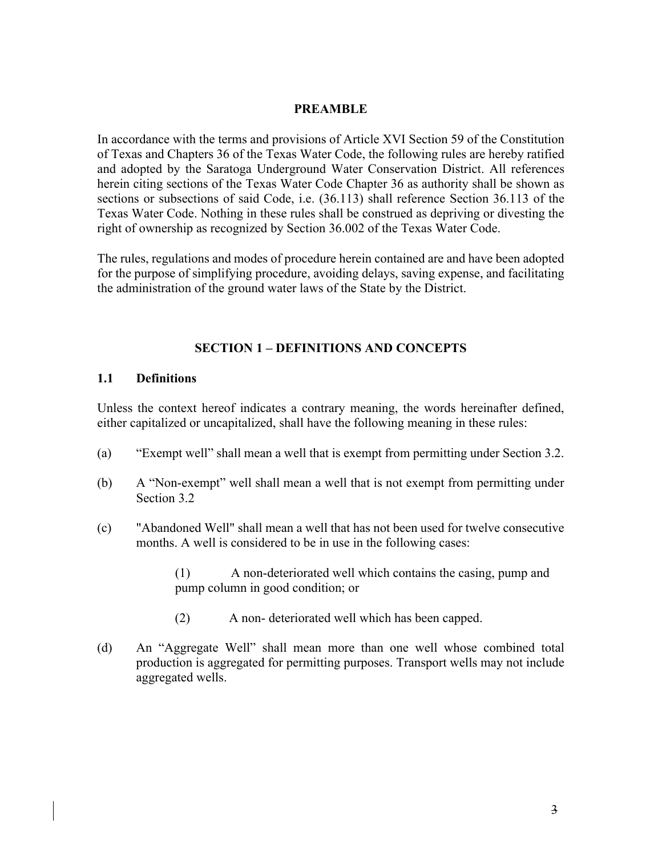#### **PREAMBLE**

In accordance with the terms and provisions of Article XVI Section 59 of the Constitution of Texas and Chapters 36 of the Texas Water Code, the following rules are hereby ratified and adopted by the Saratoga Underground Water Conservation District. All references herein citing sections of the Texas Water Code Chapter 36 as authority shall be shown as sections or subsections of said Code, i.e. (36.113) shall reference Section 36.113 of the Texas Water Code. Nothing in these rules shall be construed as depriving or divesting the right of ownership as recognized by Section 36.002 of the Texas Water Code.

The rules, regulations and modes of procedure herein contained are and have been adopted for the purpose of simplifying procedure, avoiding delays, saving expense, and facilitating the administration of the ground water laws of the State by the District.

#### **SECTION 1 – DEFINITIONS AND CONCEPTS**

#### **1.1 Definitions**

Unless the context hereof indicates a contrary meaning, the words hereinafter defined, either capitalized or uncapitalized, shall have the following meaning in these rules:

- (a) "Exempt well" shall mean a well that is exempt from permitting under Section 3.2.
- (b) A "Non-exempt" well shall mean a well that is not exempt from permitting under Section 3.2
- (c) "Abandoned Well" shall mean a well that has not been used for twelve consecutive months. A well is considered to be in use in the following cases:

(1) A non-deteriorated well which contains the casing, pump and pump column in good condition; or

- (2) A non- deteriorated well which has been capped.
- (d) An "Aggregate Well" shall mean more than one well whose combined total production is aggregated for permitting purposes. Transport wells may not include aggregated wells.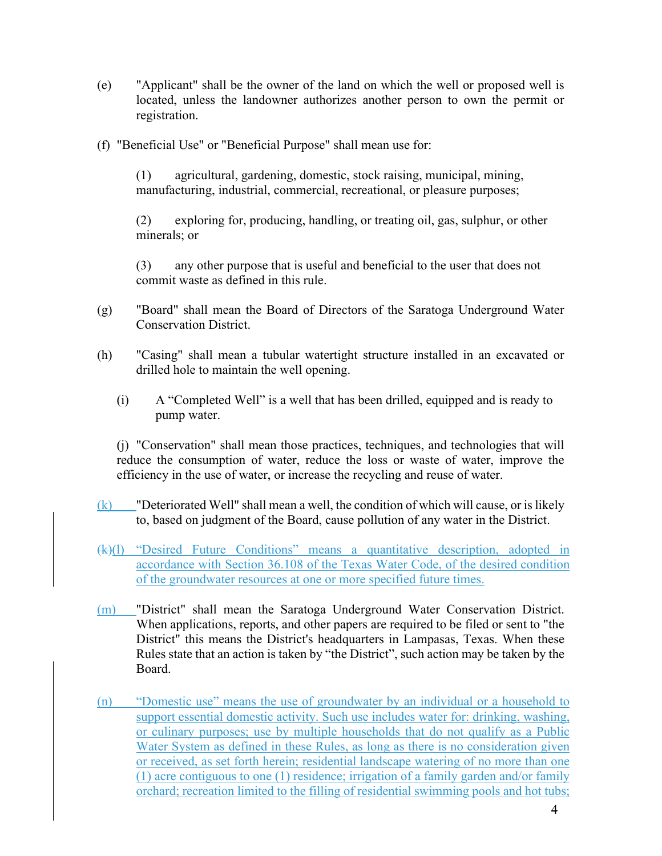- (e) "Applicant" shall be the owner of the land on which the well or proposed well is located, unless the landowner authorizes another person to own the permit or registration.
- (f) "Beneficial Use" or "Beneficial Purpose" shall mean use for:

(1) agricultural, gardening, domestic, stock raising, municipal, mining, manufacturing, industrial, commercial, recreational, or pleasure purposes;

(2) exploring for, producing, handling, or treating oil, gas, sulphur, or other minerals; or

(3) any other purpose that is useful and beneficial to the user that does not commit waste as defined in this rule.

- (g) "Board" shall mean the Board of Directors of the Saratoga Underground Water Conservation District.
- (h) "Casing" shall mean a tubular watertight structure installed in an excavated or drilled hole to maintain the well opening.
	- (i) A "Completed Well" is a well that has been drilled, equipped and is ready to pump water.

(j) "Conservation" shall mean those practices, techniques, and technologies that will reduce the consumption of water, reduce the loss or waste of water, improve the efficiency in the use of water, or increase the recycling and reuse of water.

- $(k)$  "Deteriorated Well" shall mean a well, the condition of which will cause, or is likely to, based on judgment of the Board, cause pollution of any water in the District.
- (k)(l) "Desired Future Conditions" means a quantitative description, adopted in accordance with Section 36.108 of the Texas Water Code, of the desired condition of the groundwater resources at one or more specified future times.
- (m) "District" shall mean the Saratoga Underground Water Conservation District. When applications, reports, and other papers are required to be filed or sent to "the District" this means the District's headquarters in Lampasas, Texas. When these Rules state that an action is taken by "the District", such action may be taken by the Board.
- (n) "Domestic use" means the use of groundwater by an individual or a household to support essential domestic activity. Such use includes water for: drinking, washing, or culinary purposes; use by multiple households that do not qualify as a Public Water System as defined in these Rules, as long as there is no consideration given or received, as set forth herein; residential landscape watering of no more than one (1) acre contiguous to one (1) residence; irrigation of a family garden and/or family orchard; recreation limited to the filling of residential swimming pools and hot tubs;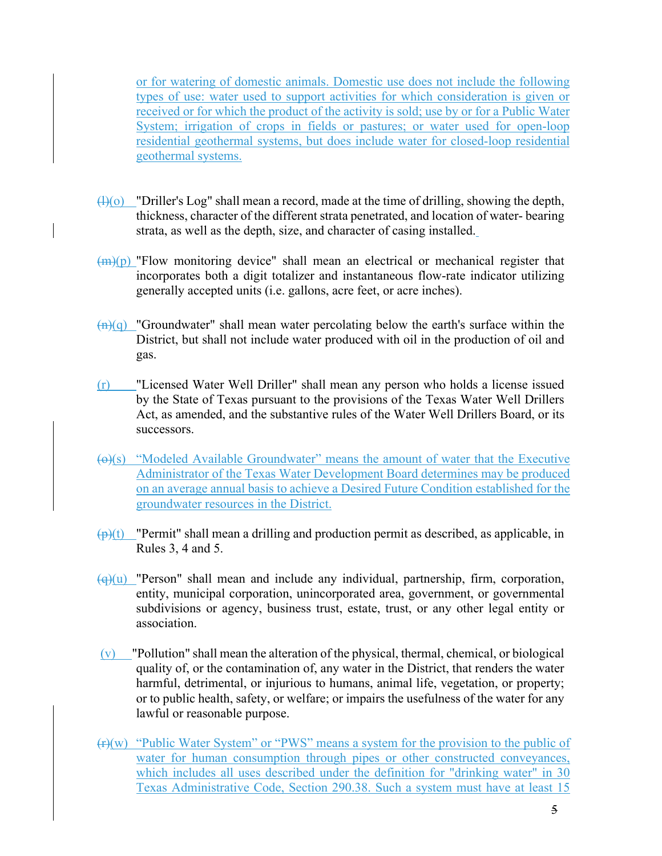or for watering of domestic animals. Domestic use does not include the following types of use: water used to support activities for which consideration is given or received or for which the product of the activity is sold; use by or for a Public Water System; irrigation of crops in fields or pastures; or water used for open-loop residential geothermal systems, but does include water for closed-loop residential geothermal systems.

- $\bigoplus$ (0) "Driller's Log" shall mean a record, made at the time of drilling, showing the depth, thickness, character of the different strata penetrated, and location of water- bearing strata, as well as the depth, size, and character of casing installed.
- $\frac{m(n)}{n}$  "Flow monitoring device" shall mean an electrical or mechanical register that incorporates both a digit totalizer and instantaneous flow-rate indicator utilizing generally accepted units (i.e. gallons, acre feet, or acre inches).
- $\frac{f(n)(q)}{n}$  "Groundwater" shall mean water percolating below the earth's surface within the District, but shall not include water produced with oil in the production of oil and gas.
- (r) "Licensed Water Well Driller" shall mean any person who holds a license issued by the State of Texas pursuant to the provisions of the Texas Water Well Drillers Act, as amended, and the substantive rules of the Water Well Drillers Board, or its successors.
- $\left(\Theta\right)(s)$  "Modeled Available Groundwater" means the amount of water that the Executive Administrator of the Texas Water Development Board determines may be produced on an average annual basis to achieve a Desired Future Condition established for the groundwater resources in the District.
- $\frac{(\mathbf{p})(t)}{(\mathbf{p})(t)}$  "Permit" shall mean a drilling and production permit as described, as applicable, in Rules 3, 4 and 5.
- $\left(\frac{q}{q}\right)(u)$  "Person" shall mean and include any individual, partnership, firm, corporation, entity, municipal corporation, unincorporated area, government, or governmental subdivisions or agency, business trust, estate, trust, or any other legal entity or association.
- $(v)$  "Pollution" shall mean the alteration of the physical, thermal, chemical, or biological quality of, or the contamination of, any water in the District, that renders the water harmful, detrimental, or injurious to humans, animal life, vegetation, or property; or to public health, safety, or welfare; or impairs the usefulness of the water for any lawful or reasonable purpose.
- (r)(w) "Public Water System" or "PWS" means a system for the provision to the public of water for human consumption through pipes or other constructed conveyances, which includes all uses described under the definition for "drinking water" in 30 Texas Administrative Code, Section 290.38. Such a system must have at least 15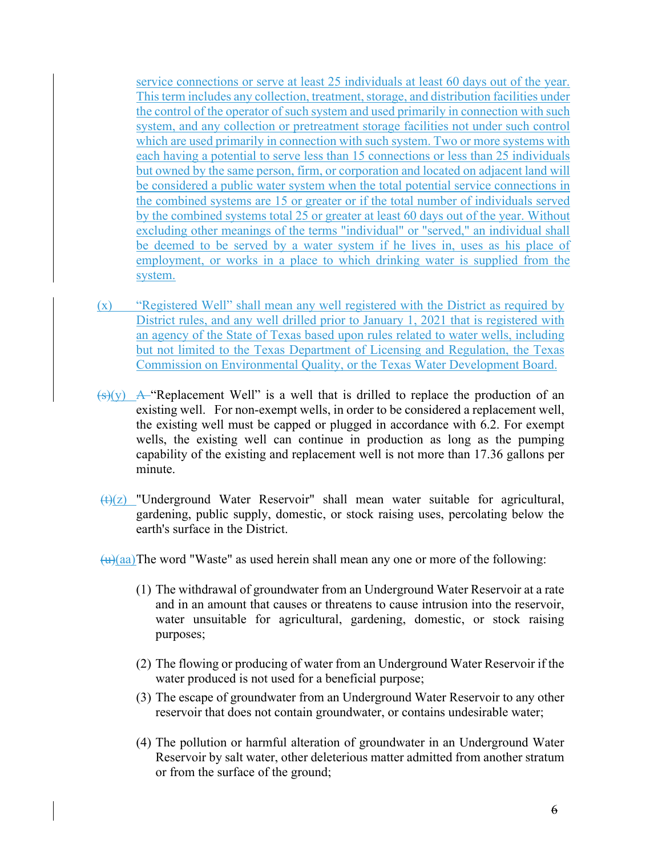service connections or serve at least 25 individuals at least 60 days out of the year. This term includes any collection, treatment, storage, and distribution facilities under the control of the operator of such system and used primarily in connection with such system, and any collection or pretreatment storage facilities not under such control which are used primarily in connection with such system. Two or more systems with each having a potential to serve less than 15 connections or less than 25 individuals but owned by the same person, firm, or corporation and located on adjacent land will be considered a public water system when the total potential service connections in the combined systems are 15 or greater or if the total number of individuals served by the combined systems total 25 or greater at least 60 days out of the year. Without excluding other meanings of the terms "individual" or "served," an individual shall be deemed to be served by a water system if he lives in, uses as his place of employment, or works in a place to which drinking water is supplied from the system.

- (x) "Registered Well" shall mean any well registered with the District as required by District rules, and any well drilled prior to January 1, 2021 that is registered with an agency of the State of Texas based upon rules related to water wells, including but not limited to the Texas Department of Licensing and Regulation, the Texas Commission on Environmental Quality, or the Texas Water Development Board.
- $(\frac{1}{s})(y)$  A "Replacement Well" is a well that is drilled to replace the production of an existing well. For non-exempt wells, in order to be considered a replacement well, the existing well must be capped or plugged in accordance with 6.2. For exempt wells, the existing well can continue in production as long as the pumping capability of the existing and replacement well is not more than 17.36 gallons per minute.
- $(t)(z)$  "Underground Water Reservoir" shall mean water suitable for agricultural, gardening, public supply, domestic, or stock raising uses, percolating below the earth's surface in the District.

 $(u)(aa)$ The word "Waste" as used herein shall mean any one or more of the following:

- (1) The withdrawal of groundwater from an Underground Water Reservoir at a rate and in an amount that causes or threatens to cause intrusion into the reservoir, water unsuitable for agricultural, gardening, domestic, or stock raising purposes;
- (2) The flowing or producing of water from an Underground Water Reservoir if the water produced is not used for a beneficial purpose;
- (3) The escape of groundwater from an Underground Water Reservoir to any other reservoir that does not contain groundwater, or contains undesirable water;
- (4) The pollution or harmful alteration of groundwater in an Underground Water Reservoir by salt water, other deleterious matter admitted from another stratum or from the surface of the ground;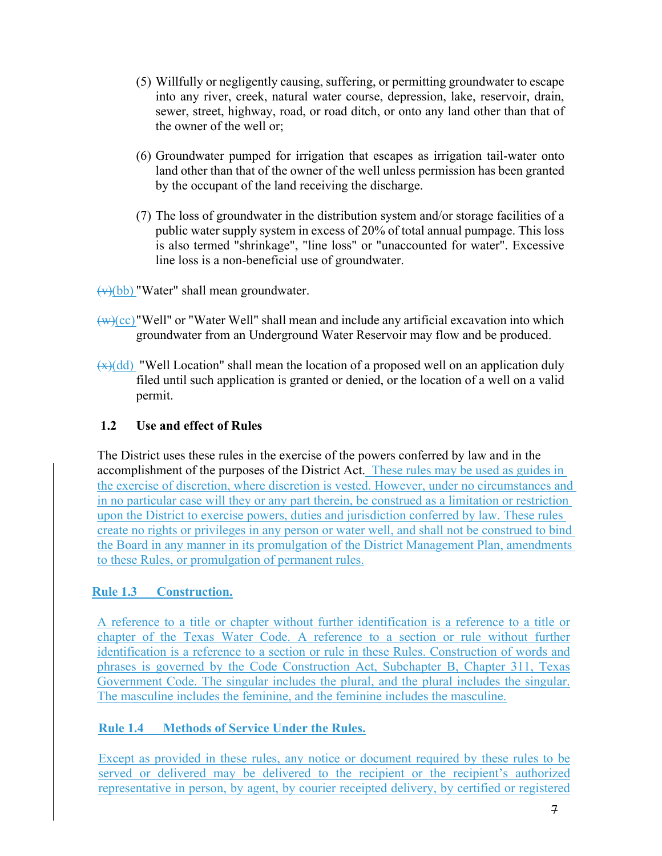- (5) Willfully or negligently causing, suffering, or permitting groundwater to escape into any river, creek, natural water course, depression, lake, reservoir, drain, sewer, street, highway, road, or road ditch, or onto any land other than that of the owner of the well or;
- (6) Groundwater pumped for irrigation that escapes as irrigation tail-water onto land other than that of the owner of the well unless permission has been granted by the occupant of the land receiving the discharge.
- (7) The loss of groundwater in the distribution system and/or storage facilities of a public water supply system in excess of 20% of total annual pumpage. This loss is also termed "shrinkage", "line loss" or "unaccounted for water". Excessive line loss is a non-beneficial use of groundwater.

 $\overline{(v)(bb)}$  "Water" shall mean groundwater.

- $(w)(cc)$ "Well" or "Water Well" shall mean and include any artificial excavation into which groundwater from an Underground Water Reservoir may flow and be produced.
- $\left(\frac{f(x)}{g}\right)$  "Well Location" shall mean the location of a proposed well on an application duly filed until such application is granted or denied, or the location of a well on a valid permit.

### **1.2 Use and effect of Rules**

The District uses these rules in the exercise of the powers conferred by law and in the accomplishment of the purposes of the District Act. These rules may be used as guides in the exercise of discretion, where discretion is vested. However, under no circumstances and in no particular case will they or any part therein, be construed as a limitation or restriction upon the District to exercise powers, duties and jurisdiction conferred by law. These rules create no rights or privileges in any person or water well, and shall not be construed to bind the Board in any manner in its promulgation of the District Management Plan, amendments to these Rules, or promulgation of permanent rules.

### **Rule 1.3 Construction.**

A reference to a title or chapter without further identification is a reference to a title or chapter of the Texas Water Code. A reference to a section or rule without further identification is a reference to a section or rule in these Rules. Construction of words and phrases is governed by the Code Construction Act, Subchapter B, Chapter 311, Texas Government Code. The singular includes the plural, and the plural includes the singular. The masculine includes the feminine, and the feminine includes the masculine.

# **Rule 1.4 Methods of Service Under the Rules.**

Except as provided in these rules, any notice or document required by these rules to be served or delivered may be delivered to the recipient or the recipient's authorized representative in person, by agent, by courier receipted delivery, by certified or registered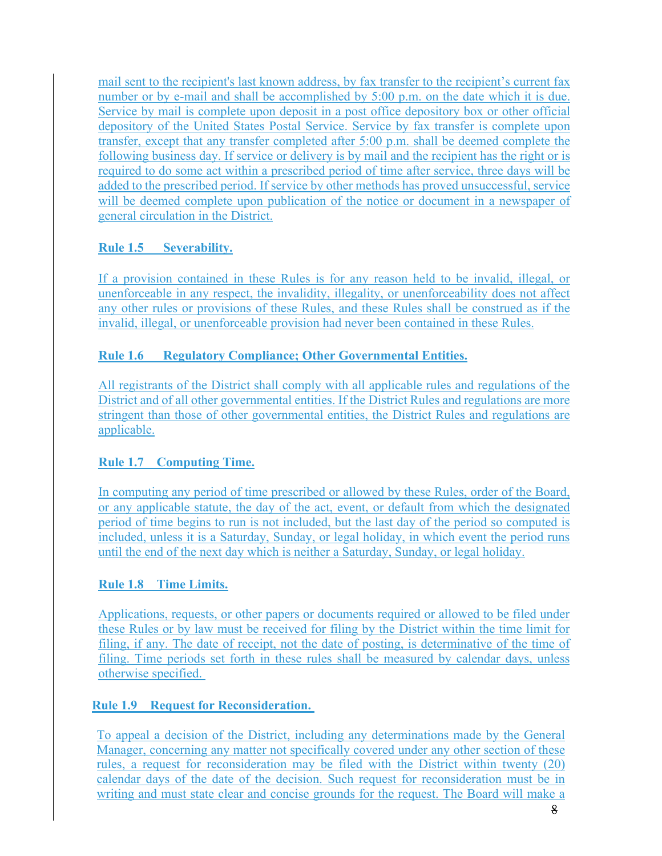mail sent to the recipient's last known address, by fax transfer to the recipient's current fax number or by e-mail and shall be accomplished by 5:00 p.m. on the date which it is due. Service by mail is complete upon deposit in a post office depository box or other official depository of the United States Postal Service. Service by fax transfer is complete upon transfer, except that any transfer completed after 5:00 p.m. shall be deemed complete the following business day. If service or delivery is by mail and the recipient has the right or is required to do some act within a prescribed period of time after service, three days will be added to the prescribed period. If service by other methods has proved unsuccessful, service will be deemed complete upon publication of the notice or document in a newspaper of general circulation in the District.

# **Rule 1.5 Severability.**

If a provision contained in these Rules is for any reason held to be invalid, illegal, or unenforceable in any respect, the invalidity, illegality, or unenforceability does not affect any other rules or provisions of these Rules, and these Rules shall be construed as if the invalid, illegal, or unenforceable provision had never been contained in these Rules.

# **Rule 1.6 Regulatory Compliance; Other Governmental Entities.**

All registrants of the District shall comply with all applicable rules and regulations of the District and of all other governmental entities. If the District Rules and regulations are more stringent than those of other governmental entities, the District Rules and regulations are applicable.

# **Rule 1.7 Computing Time.**

In computing any period of time prescribed or allowed by these Rules, order of the Board, or any applicable statute, the day of the act, event, or default from which the designated period of time begins to run is not included, but the last day of the period so computed is included, unless it is a Saturday, Sunday, or legal holiday, in which event the period runs until the end of the next day which is neither a Saturday, Sunday, or legal holiday.

### **Rule 1.8 Time Limits.**

Applications, requests, or other papers or documents required or allowed to be filed under these Rules or by law must be received for filing by the District within the time limit for filing, if any. The date of receipt, not the date of posting, is determinative of the time of filing. Time periods set forth in these rules shall be measured by calendar days, unless otherwise specified.

### **Rule 1.9 Request for Reconsideration.**

To appeal a decision of the District, including any determinations made by the General Manager, concerning any matter not specifically covered under any other section of these rules, a request for reconsideration may be filed with the District within twenty (20) calendar days of the date of the decision. Such request for reconsideration must be in writing and must state clear and concise grounds for the request. The Board will make a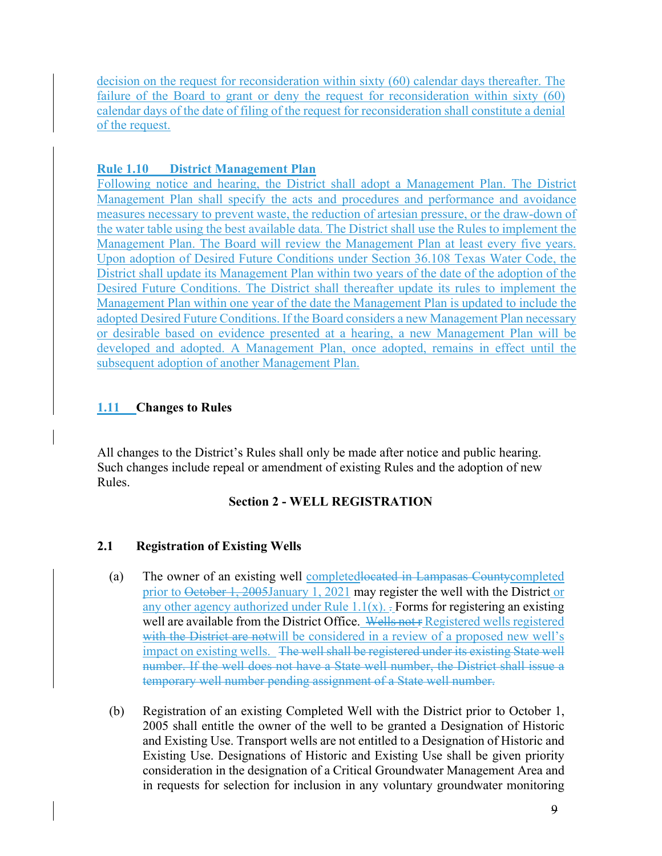decision on the request for reconsideration within sixty (60) calendar days thereafter. The failure of the Board to grant or deny the request for reconsideration within sixty (60) calendar days of the date of filing of the request for reconsideration shall constitute a denial of the request.

### **Rule 1.10 District Management Plan**

Following notice and hearing, the District shall adopt a Management Plan. The District Management Plan shall specify the acts and procedures and performance and avoidance measures necessary to prevent waste, the reduction of artesian pressure, or the draw-down of the water table using the best available data. The District shall use the Rules to implement the Management Plan. The Board will review the Management Plan at least every five years. Upon adoption of Desired Future Conditions under Section 36.108 Texas Water Code, the District shall update its Management Plan within two years of the date of the adoption of the Desired Future Conditions. The District shall thereafter update its rules to implement the Management Plan within one year of the date the Management Plan is updated to include the adopted Desired Future Conditions. If the Board considers a new Management Plan necessary or desirable based on evidence presented at a hearing, a new Management Plan will be developed and adopted. A Management Plan, once adopted, remains in effect until the subsequent adoption of another Management Plan.

### **1.11 Changes to Rules**

All changes to the District's Rules shall only be made after notice and public hearing. Such changes include repeal or amendment of existing Rules and the adoption of new Rules.

# **Section 2 - WELL REGISTRATION**

# **2.1 Registration of Existing Wells**

- (a) The owner of an existing well completedlocated in Lampasas Countycompleted prior to October 1, 2005January 1, 2021 may register the well with the District or any other agency authorized under Rule  $1.1(x)$ . Forms for registering an existing well are available from the District Office. Wells not r Registered wells registered with the District are notwill be considered in a review of a proposed new well's impact on existing wells. The well shall be registered under its existing State well number. If the well does not have a State well number, the District shall issue a temporary well number pending assignment of a State well number.
- (b) Registration of an existing Completed Well with the District prior to October 1, 2005 shall entitle the owner of the well to be granted a Designation of Historic and Existing Use. Transport wells are not entitled to a Designation of Historic and Existing Use. Designations of Historic and Existing Use shall be given priority consideration in the designation of a Critical Groundwater Management Area and in requests for selection for inclusion in any voluntary groundwater monitoring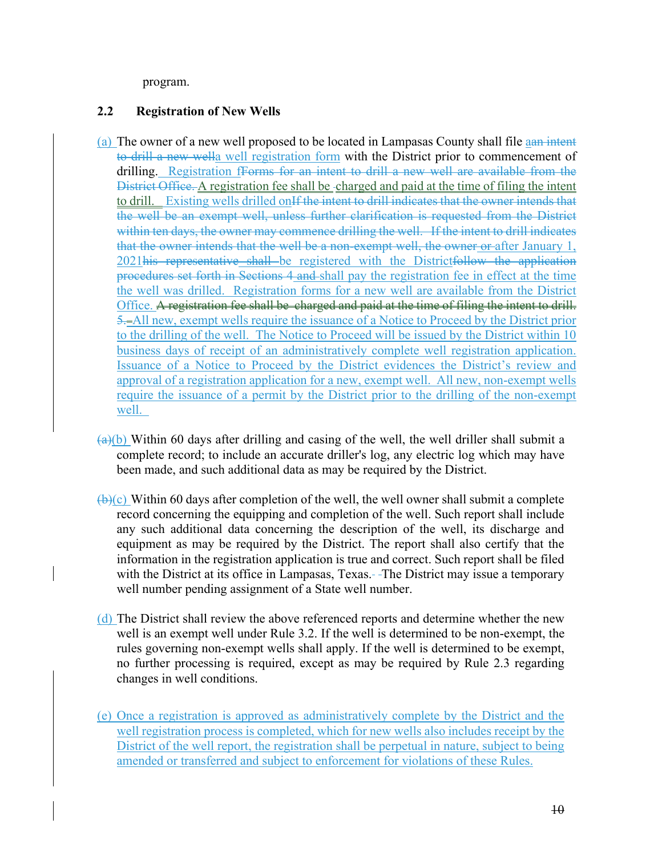program.

### **2.2 Registration of New Wells**

- (a) The owner of a new well proposed to be located in Lampasas County shall file aan intent to drill a new wella well registration form with the District prior to commencement of drilling. Registration f<del>Forms for an intent to drill a new well are available from the</del> District Office. A registration fee shall be -charged and paid at the time of filing the intent to drill. Existing wells drilled on<del>If the intent to drill indicates that the owner intends that</del> the well be an exempt well, unless further clarification is requested from the District within ten days, the owner may commence drilling the well. If the intent to drill indicates that the owner intends that the well be a non-exempt well, the owner or after January 1, 2021his representative shall be registered with the Districtfollow the application procedures set forth in Sections 4 and shall pay the registration fee in effect at the time the well was drilled. Registration forms for a new well are available from the District Office. A registration fee shall be charged and paid at the time of filing the intent to drill. 5. All new, exempt wells require the issuance of a Notice to Proceed by the District prior to the drilling of the well. The Notice to Proceed will be issued by the District within 10 business days of receipt of an administratively complete well registration application. Issuance of a Notice to Proceed by the District evidences the District's review and approval of a registration application for a new, exempt well. All new, non-exempt wells require the issuance of a permit by the District prior to the drilling of the non-exempt well.
- $\frac{a}{b}$  Within 60 days after drilling and casing of the well, the well driller shall submit a complete record; to include an accurate driller's log, any electric log which may have been made, and such additional data as may be required by the District.
- $\bigoplus$ (c) Within 60 days after completion of the well, the well owner shall submit a complete record concerning the equipping and completion of the well. Such report shall include any such additional data concerning the description of the well, its discharge and equipment as may be required by the District. The report shall also certify that the information in the registration application is true and correct. Such report shall be filed with the District at its office in Lampasas, Texas. The District may issue a temporary well number pending assignment of a State well number.
- (d) The District shall review the above referenced reports and determine whether the new well is an exempt well under Rule 3.2. If the well is determined to be non-exempt, the rules governing non-exempt wells shall apply. If the well is determined to be exempt, no further processing is required, except as may be required by Rule 2.3 regarding changes in well conditions.
- (e) Once a registration is approved as administratively complete by the District and the well registration process is completed, which for new wells also includes receipt by the District of the well report, the registration shall be perpetual in nature, subject to being amended or transferred and subject to enforcement for violations of these Rules.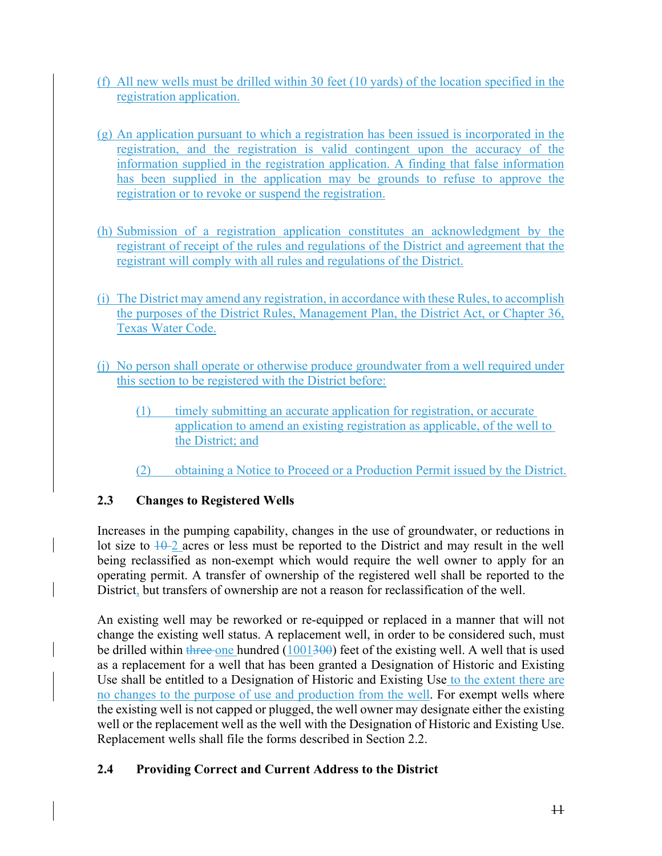- (f) All new wells must be drilled within 30 feet (10 yards) of the location specified in the registration application.
- (g) An application pursuant to which a registration has been issued is incorporated in the registration, and the registration is valid contingent upon the accuracy of the information supplied in the registration application. A finding that false information has been supplied in the application may be grounds to refuse to approve the registration or to revoke or suspend the registration.
- (h) Submission of a registration application constitutes an acknowledgment by the registrant of receipt of the rules and regulations of the District and agreement that the registrant will comply with all rules and regulations of the District.
- (i) The District may amend any registration, in accordance with these Rules, to accomplish the purposes of the District Rules, Management Plan, the District Act, or Chapter 36, Texas Water Code.
- (j) No person shall operate or otherwise produce groundwater from a well required under this section to be registered with the District before:
	- (1) timely submitting an accurate application for registration, or accurate application to amend an existing registration as applicable, of the well to the District; and
	- (2) obtaining a Notice to Proceed or a Production Permit issued by the District.

# **2.3 Changes to Registered Wells**

Increases in the pumping capability, changes in the use of groundwater, or reductions in lot size to  $10-2$  acres or less must be reported to the District and may result in the well being reclassified as non-exempt which would require the well owner to apply for an operating permit. A transfer of ownership of the registered well shall be reported to the District, but transfers of ownership are not a reason for reclassification of the well.

An existing well may be reworked or re-equipped or replaced in a manner that will not change the existing well status. A replacement well, in order to be considered such, must be drilled within three one hundred  $(1001300)$  feet of the existing well. A well that is used as a replacement for a well that has been granted a Designation of Historic and Existing Use shall be entitled to a Designation of Historic and Existing Use to the extent there are no changes to the purpose of use and production from the well. For exempt wells where the existing well is not capped or plugged, the well owner may designate either the existing well or the replacement well as the well with the Designation of Historic and Existing Use. Replacement wells shall file the forms described in Section 2.2.

# **2.4 Providing Correct and Current Address to the District**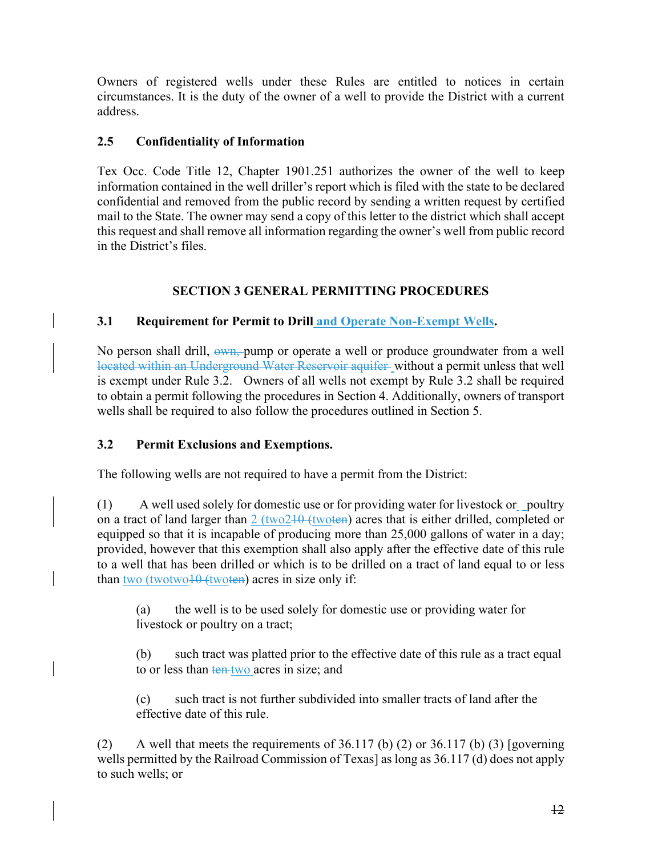Owners of registered wells under these Rules are entitled to notices in certain circumstances. It is the duty of the owner of a well to provide the District with a current address.

### **2.5 Confidentiality of Information**

Tex Occ. Code Title 12, Chapter 1901.251 authorizes the owner of the well to keep information contained in the well driller's report which is filed with the state to be declared confidential and removed from the public record by sending a written request by certified mail to the State. The owner may send a copy of this letter to the district which shall accept this request and shall remove all information regarding the owner's well from public record in the District's files.

# **SECTION 3 GENERAL PERMITTING PROCEDURES**

# **3.1 Requirement for Permit to Drill and Operate Non-Exempt Wells.**

No person shall drill,  $\frac{\partial w_n}{\partial y}$  pump or operate a well or produce groundwater from a well located within an Underground Water Reservoir aquifer without a permit unless that well is exempt under Rule 3.2. Owners of all wells not exempt by Rule 3.2 shall be required to obtain a permit following the procedures in Section 4. Additionally, owners of transport wells shall be required to also follow the procedures outlined in Section 5.

### **3.2 Permit Exclusions and Exemptions.**

The following wells are not required to have a permit from the District:

(1) A well used solely for domestic use or for providing water for livestock or poultry on a tract of land larger than  $2$  (two $210$  (twoten) acres that is either drilled, completed or equipped so that it is incapable of producing more than 25,000 gallons of water in a day; provided, however that this exemption shall also apply after the effective date of this rule to a well that has been drilled or which is to be drilled on a tract of land equal to or less than two (twotwo $10$  (twoten) acres in size only if:

(a) the well is to be used solely for domestic use or providing water for livestock or poultry on a tract;

(b) such tract was platted prior to the effective date of this rule as a tract equal to or less than ten two acres in size; and

(c) such tract is not further subdivided into smaller tracts of land after the effective date of this rule.

(2) A well that meets the requirements of 36.117 (b) (2) or 36.117 (b) (3) [governing wells permitted by the Railroad Commission of Texas] as long as 36.117 (d) does not apply to such wells; or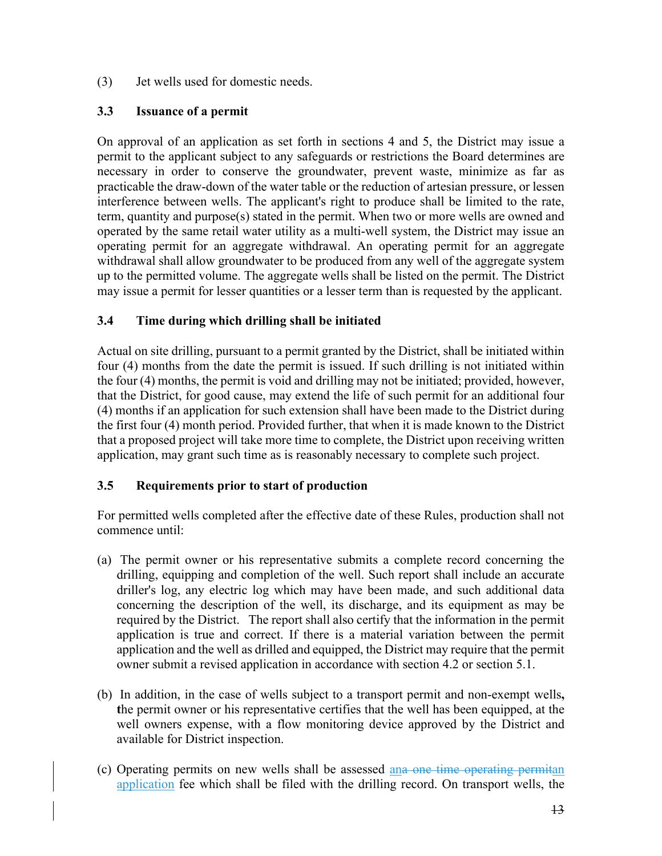(3) Jet wells used for domestic needs.

### **3.3 Issuance of a permit**

On approval of an application as set forth in sections 4 and 5, the District may issue a permit to the applicant subject to any safeguards or restrictions the Board determines are necessary in order to conserve the groundwater, prevent waste, minimize as far as practicable the draw-down of the water table or the reduction of artesian pressure, or lessen interference between wells. The applicant's right to produce shall be limited to the rate, term, quantity and purpose(s) stated in the permit. When two or more wells are owned and operated by the same retail water utility as a multi-well system, the District may issue an operating permit for an aggregate withdrawal. An operating permit for an aggregate withdrawal shall allow groundwater to be produced from any well of the aggregate system up to the permitted volume. The aggregate wells shall be listed on the permit. The District may issue a permit for lesser quantities or a lesser term than is requested by the applicant.

### **3.4 Time during which drilling shall be initiated**

Actual on site drilling, pursuant to a permit granted by the District, shall be initiated within four (4) months from the date the permit is issued. If such drilling is not initiated within the four (4) months, the permit is void and drilling may not be initiated; provided, however, that the District, for good cause, may extend the life of such permit for an additional four (4) months if an application for such extension shall have been made to the District during the first four (4) month period. Provided further, that when it is made known to the District that a proposed project will take more time to complete, the District upon receiving written application, may grant such time as is reasonably necessary to complete such project.

# **3.5 Requirements prior to start of production**

For permitted wells completed after the effective date of these Rules, production shall not commence until:

- (a) The permit owner or his representative submits a complete record concerning the drilling, equipping and completion of the well. Such report shall include an accurate driller's log, any electric log which may have been made, and such additional data concerning the description of the well, its discharge, and its equipment as may be required by the District. The report shall also certify that the information in the permit application is true and correct. If there is a material variation between the permit application and the well as drilled and equipped, the District may require that the permit owner submit a revised application in accordance with section 4.2 or section 5.1.
- (b) In addition, in the case of wells subject to a transport permit and non-exempt wells**, t**he permit owner or his representative certifies that the well has been equipped, at the well owners expense, with a flow monitoring device approved by the District and available for District inspection.
- (c) Operating permits on new wells shall be assessed ana one time operating permitan application fee which shall be filed with the drilling record. On transport wells, the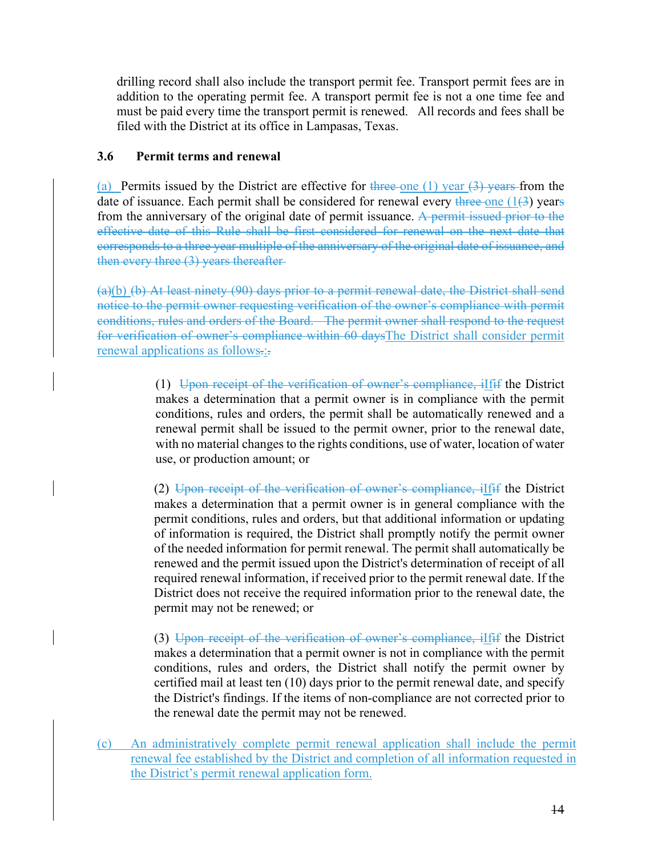drilling record shall also include the transport permit fee. Transport permit fees are in addition to the operating permit fee. A transport permit fee is not a one time fee and must be paid every time the transport permit is renewed. All records and fees shall be filed with the District at its office in Lampasas, Texas.

#### **3.6 Permit terms and renewal**

(a) Permits issued by the District are effective for three one (1) year  $(3)$  years from the date of issuance. Each permit shall be considered for renewal every three one  $(1/3)$  years from the anniversary of the original date of permit issuance. A permit issued prior to the effective date of this Rule shall be first considered for renewal on the next date that corresponds to a three year multiple of the anniversary of the original date of issuance, and then every three (3) years thereafter-

(a)(b) (b) At least ninety (90) days prior to a permit renewal date, the District shall send notice to the permit owner requesting verification of the owner's compliance with permit conditions, rules and orders of the Board. The permit owner shall respond to the request for verification of owner's compliance within 60 daysThe District shall consider permit renewal applications as follows-:-

> (1) Upon receipt of the verification of owner's compliance, iIfif the District makes a determination that a permit owner is in compliance with the permit conditions, rules and orders, the permit shall be automatically renewed and a renewal permit shall be issued to the permit owner, prior to the renewal date, with no material changes to the rights conditions, use of water, location of water use, or production amount; or

> (2) Upon receipt of the verification of owner's compliance, iIfif the District makes a determination that a permit owner is in general compliance with the permit conditions, rules and orders, but that additional information or updating of information is required, the District shall promptly notify the permit owner of the needed information for permit renewal. The permit shall automatically be renewed and the permit issued upon the District's determination of receipt of all required renewal information, if received prior to the permit renewal date. If the District does not receive the required information prior to the renewal date, the permit may not be renewed; or

> (3) Upon receipt of the verification of owner's compliance, iIfif the District makes a determination that a permit owner is not in compliance with the permit conditions, rules and orders, the District shall notify the permit owner by certified mail at least ten (10) days prior to the permit renewal date, and specify the District's findings. If the items of non-compliance are not corrected prior to the renewal date the permit may not be renewed.

(c) An administratively complete permit renewal application shall include the permit renewal fee established by the District and completion of all information requested in the District's permit renewal application form.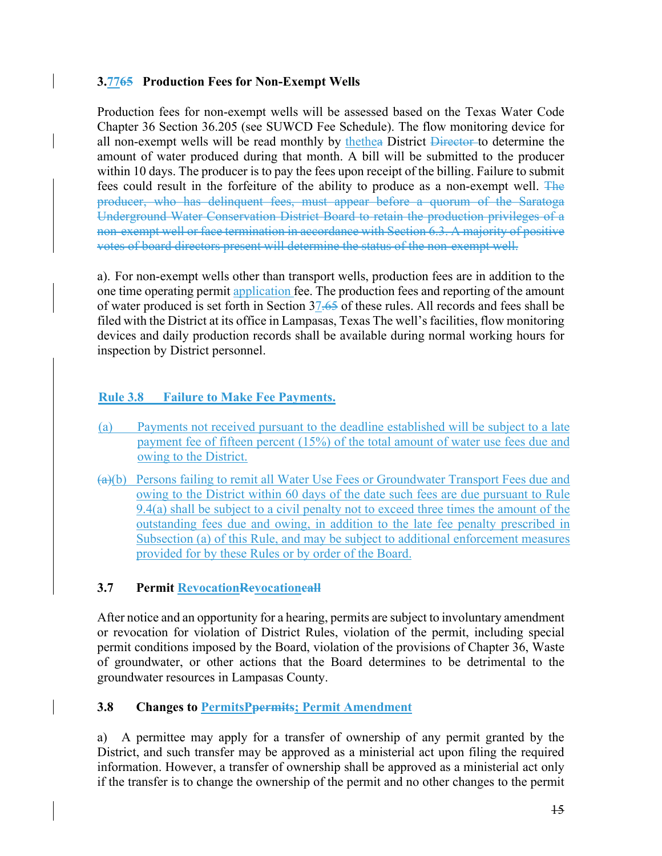#### **3.7765 Production Fees for Non-Exempt Wells**

Production fees for non-exempt wells will be assessed based on the Texas Water Code Chapter 36 Section 36.205 (see SUWCD Fee Schedule). The flow monitoring device for all non-exempt wells will be read monthly by the the District Director to determine the amount of water produced during that month. A bill will be submitted to the producer within 10 days. The producer is to pay the fees upon receipt of the billing. Failure to submit fees could result in the forfeiture of the ability to produce as a non-exempt well. The producer, who has delinquent fees, must appear before a quorum of the Saratoga Underground Water Conservation District Board to retain the production privileges of a non-exempt well or face termination in accordance with Section 6.3. A majority of positive votes of board directors present will determine the status of the non-exempt well.

a). For non-exempt wells other than transport wells, production fees are in addition to the one time operating permit application fee. The production fees and reporting of the amount of water produced is set forth in Section 37.65 of these rules. All records and fees shall be filed with the District at its office in Lampasas, Texas The well's facilities, flow monitoring devices and daily production records shall be available during normal working hours for inspection by District personnel.

#### **Rule 3.8 Failure to Make Fee Payments.**

- (a) Payments not received pursuant to the deadline established will be subject to a late payment fee of fifteen percent (15%) of the total amount of water use fees due and owing to the District.
- $(a)(b)$  Persons failing to remit all Water Use Fees or Groundwater Transport Fees due and owing to the District within 60 days of the date such fees are due pursuant to Rule 9.4(a) shall be subject to a civil penalty not to exceed three times the amount of the outstanding fees due and owing, in addition to the late fee penalty prescribed in Subsection (a) of this Rule, and may be subject to additional enforcement measures provided for by these Rules or by order of the Board.

### **3.7 Permit RevocationRevocationcall**

After notice and an opportunity for a hearing, permits are subject to involuntary amendment or revocation for violation of District Rules, violation of the permit, including special permit conditions imposed by the Board, violation of the provisions of Chapter 36, Waste of groundwater, or other actions that the Board determines to be detrimental to the groundwater resources in Lampasas County.

### **3.8** Changes to PermitsPpermits; Permit Amendment

a) A permittee may apply for a transfer of ownership of any permit granted by the District, and such transfer may be approved as a ministerial act upon filing the required information. However, a transfer of ownership shall be approved as a ministerial act only if the transfer is to change the ownership of the permit and no other changes to the permit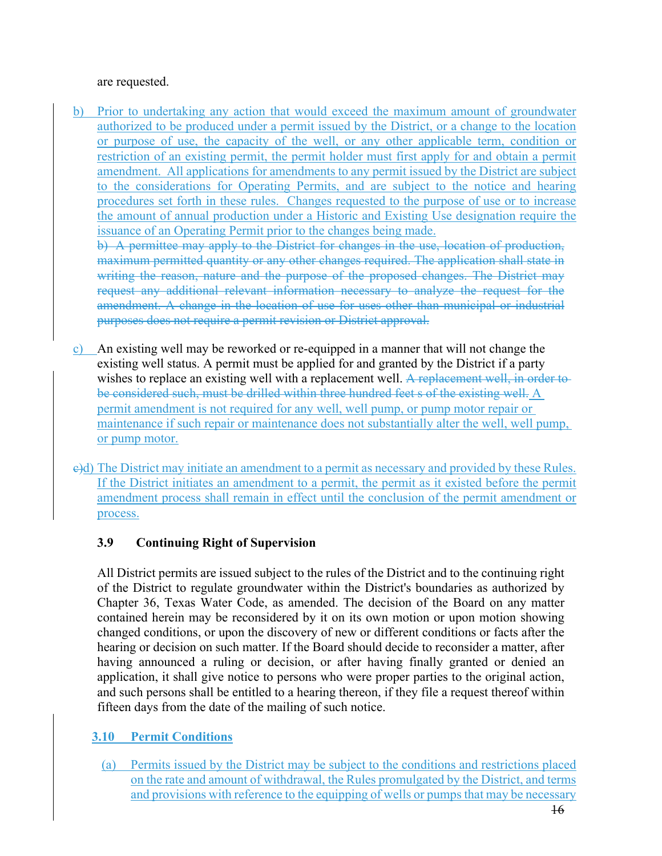#### are requested.

b) Prior to undertaking any action that would exceed the maximum amount of groundwater authorized to be produced under a permit issued by the District, or a change to the location or purpose of use, the capacity of the well, or any other applicable term, condition or restriction of an existing permit, the permit holder must first apply for and obtain a permit amendment. All applications for amendments to any permit issued by the District are subject to the considerations for Operating Permits, and are subject to the notice and hearing procedures set forth in these rules. Changes requested to the purpose of use or to increase the amount of annual production under a Historic and Existing Use designation require the issuance of an Operating Permit prior to the changes being made.

b) A permittee may apply to the District for changes in the use, location of production, maximum permitted quantity or any other changes required. The application shall state in writing the reason, nature and the purpose of the proposed changes. The District may request any additional relevant information necessary to analyze the request for the amendment. A change in the location of use for uses other than municipal or industrial purposes does not require a permit revision or District approval.

- c) An existing well may be reworked or re-equipped in a manner that will not change the existing well status. A permit must be applied for and granted by the District if a party wishes to replace an existing well with a replacement well. A replacement well, in order to be considered such, must be drilled within three hundred feet s of the existing well. A permit amendment is not required for any well, well pump, or pump motor repair or maintenance if such repair or maintenance does not substantially alter the well, well pump, or pump motor.
- e)d) The District may initiate an amendment to a permit as necessary and provided by these Rules. If the District initiates an amendment to a permit, the permit as it existed before the permit amendment process shall remain in effect until the conclusion of the permit amendment or process.

### **3.9 Continuing Right of Supervision**

All District permits are issued subject to the rules of the District and to the continuing right of the District to regulate groundwater within the District's boundaries as authorized by Chapter 36, Texas Water Code, as amended. The decision of the Board on any matter contained herein may be reconsidered by it on its own motion or upon motion showing changed conditions, or upon the discovery of new or different conditions or facts after the hearing or decision on such matter. If the Board should decide to reconsider a matter, after having announced a ruling or decision, or after having finally granted or denied an application, it shall give notice to persons who were proper parties to the original action, and such persons shall be entitled to a hearing thereon, if they file a request thereof within fifteen days from the date of the mailing of such notice.

# **3.10 Permit Conditions**

(a) Permits issued by the District may be subject to the conditions and restrictions placed on the rate and amount of withdrawal, the Rules promulgated by the District, and terms and provisions with reference to the equipping of wells or pumps that may be necessary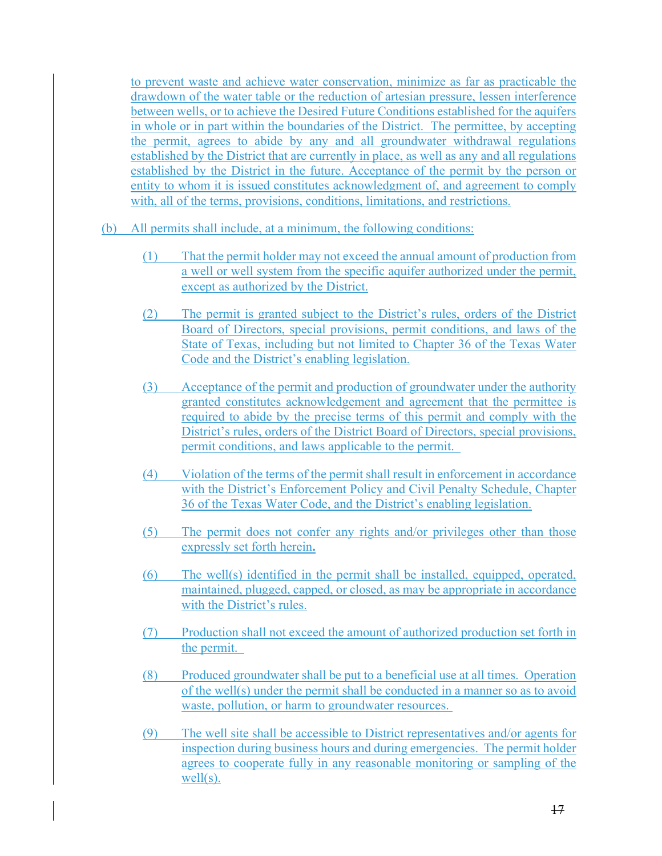to prevent waste and achieve water conservation, minimize as far as practicable the drawdown of the water table or the reduction of artesian pressure, lessen interference between wells, or to achieve the Desired Future Conditions established for the aquifers in whole or in part within the boundaries of the District. The permittee, by accepting the permit, agrees to abide by any and all groundwater withdrawal regulations established by the District that are currently in place, as well as any and all regulations established by the District in the future. Acceptance of the permit by the person or entity to whom it is issued constitutes acknowledgment of, and agreement to comply with, all of the terms, provisions, conditions, limitations, and restrictions.

- (b) All permits shall include, at a minimum, the following conditions:
	- (1) That the permit holder may not exceed the annual amount of production from a well or well system from the specific aquifer authorized under the permit, except as authorized by the District.
	- (2) The permit is granted subject to the District's rules, orders of the District Board of Directors, special provisions, permit conditions, and laws of the State of Texas, including but not limited to Chapter 36 of the Texas Water Code and the District's enabling legislation.
	- (3) Acceptance of the permit and production of groundwater under the authority granted constitutes acknowledgement and agreement that the permittee is required to abide by the precise terms of this permit and comply with the District's rules, orders of the District Board of Directors, special provisions, permit conditions, and laws applicable to the permit.
	- (4) Violation of the terms of the permit shall result in enforcement in accordance with the District's Enforcement Policy and Civil Penalty Schedule, Chapter 36 of the Texas Water Code, and the District's enabling legislation.
	- (5) The permit does not confer any rights and/or privileges other than those expressly set forth herein**.**
	- (6) The well(s) identified in the permit shall be installed, equipped, operated, maintained, plugged, capped, or closed, as may be appropriate in accordance with the District's rules.
	- (7) Production shall not exceed the amount of authorized production set forth in the permit.
	- (8) Produced groundwater shall be put to a beneficial use at all times. Operation of the well(s) under the permit shall be conducted in a manner so as to avoid waste, pollution, or harm to groundwater resources.
	- (9) The well site shall be accessible to District representatives and/or agents for inspection during business hours and during emergencies. The permit holder agrees to cooperate fully in any reasonable monitoring or sampling of the well(s).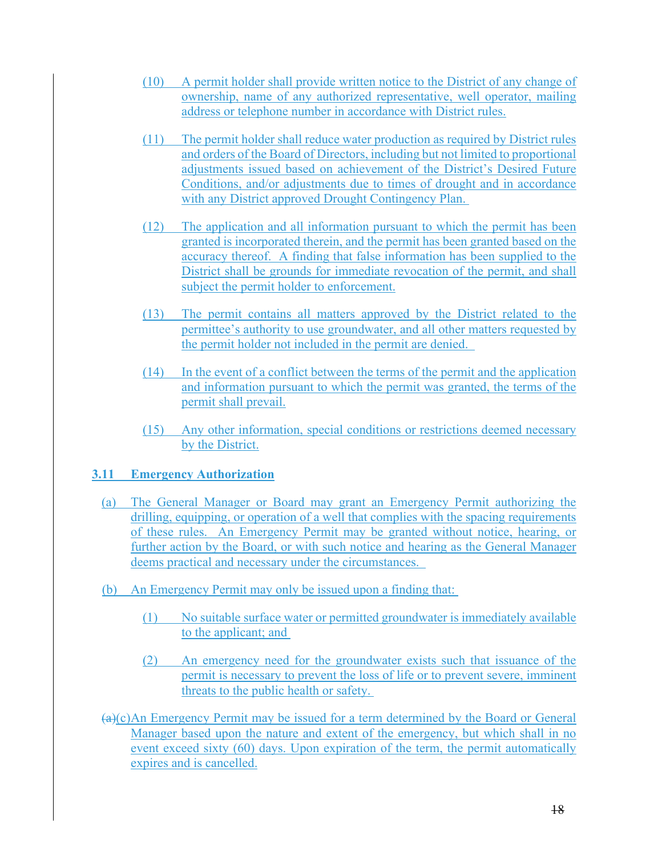- (10) A permit holder shall provide written notice to the District of any change of ownership, name of any authorized representative, well operator, mailing address or telephone number in accordance with District rules.
- (11) The permit holder shall reduce water production as required by District rules and orders of the Board of Directors, including but not limited to proportional adjustments issued based on achievement of the District's Desired Future Conditions, and/or adjustments due to times of drought and in accordance with any District approved Drought Contingency Plan.
- (12) The application and all information pursuant to which the permit has been granted is incorporated therein, and the permit has been granted based on the accuracy thereof. A finding that false information has been supplied to the District shall be grounds for immediate revocation of the permit, and shall subject the permit holder to enforcement.
- (13) The permit contains all matters approved by the District related to the permittee's authority to use groundwater, and all other matters requested by the permit holder not included in the permit are denied.
- (14) In the event of a conflict between the terms of the permit and the application and information pursuant to which the permit was granted, the terms of the permit shall prevail.
- (15) Any other information, special conditions or restrictions deemed necessary by the District.

### **3.11 Emergency Authorization**

- (a) The General Manager or Board may grant an Emergency Permit authorizing the drilling, equipping, or operation of a well that complies with the spacing requirements of these rules. An Emergency Permit may be granted without notice, hearing, or further action by the Board, or with such notice and hearing as the General Manager deems practical and necessary under the circumstances.
- (b) An Emergency Permit may only be issued upon a finding that:
	- (1) No suitable surface water or permitted groundwater is immediately available to the applicant; and
	- (2) An emergency need for the groundwater exists such that issuance of the permit is necessary to prevent the loss of life or to prevent severe, imminent threats to the public health or safety.
- $(a)(c)$ An Emergency Permit may be issued for a term determined by the Board or General Manager based upon the nature and extent of the emergency, but which shall in no event exceed sixty (60) days. Upon expiration of the term, the permit automatically expires and is cancelled.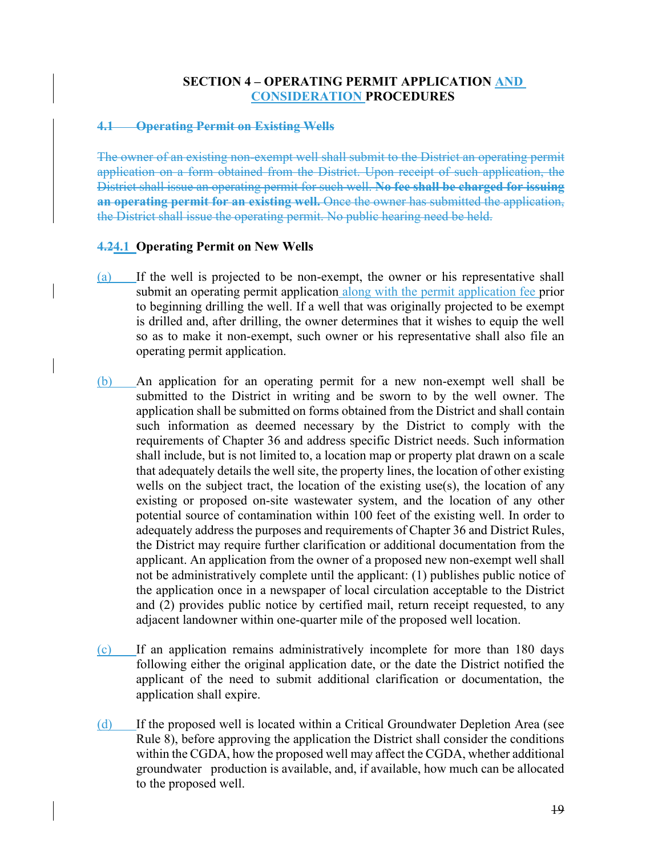#### **SECTION 4 – OPERATING PERMIT APPLICATION AND CONSIDERATION PROCEDURES**

#### **4.1 Operating Permit on Existing Wells**

The owner of an existing non-exempt well shall submit to the District an operating permit application on a form obtained from the District. Upon receipt of such application, the District shall issue an operating permit for such well. **No fee shall be charged for issuing an operating permit for an existing well.** Once the owner has submitted the application, the District shall issue the operating permit. No public hearing need be held.

#### **4.24.1 Operating Permit on New Wells**

- (a) If the well is projected to be non-exempt, the owner or his representative shall submit an operating permit application along with the permit application fee prior to beginning drilling the well. If a well that was originally projected to be exempt is drilled and, after drilling, the owner determines that it wishes to equip the well so as to make it non-exempt, such owner or his representative shall also file an operating permit application.
- (b) An application for an operating permit for a new non-exempt well shall be submitted to the District in writing and be sworn to by the well owner. The application shall be submitted on forms obtained from the District and shall contain such information as deemed necessary by the District to comply with the requirements of Chapter 36 and address specific District needs. Such information shall include, but is not limited to, a location map or property plat drawn on a scale that adequately details the well site, the property lines, the location of other existing wells on the subject tract, the location of the existing use(s), the location of any existing or proposed on-site wastewater system, and the location of any other potential source of contamination within 100 feet of the existing well. In order to adequately address the purposes and requirements of Chapter 36 and District Rules, the District may require further clarification or additional documentation from the applicant. An application from the owner of a proposed new non-exempt well shall not be administratively complete until the applicant: (1) publishes public notice of the application once in a newspaper of local circulation acceptable to the District and (2) provides public notice by certified mail, return receipt requested, to any adjacent landowner within one-quarter mile of the proposed well location.
- (c) If an application remains administratively incomplete for more than 180 days following either the original application date, or the date the District notified the applicant of the need to submit additional clarification or documentation, the application shall expire.
- (d) If the proposed well is located within a Critical Groundwater Depletion Area (see Rule 8), before approving the application the District shall consider the conditions within the CGDA, how the proposed well may affect the CGDA, whether additional groundwater production is available, and, if available, how much can be allocated to the proposed well.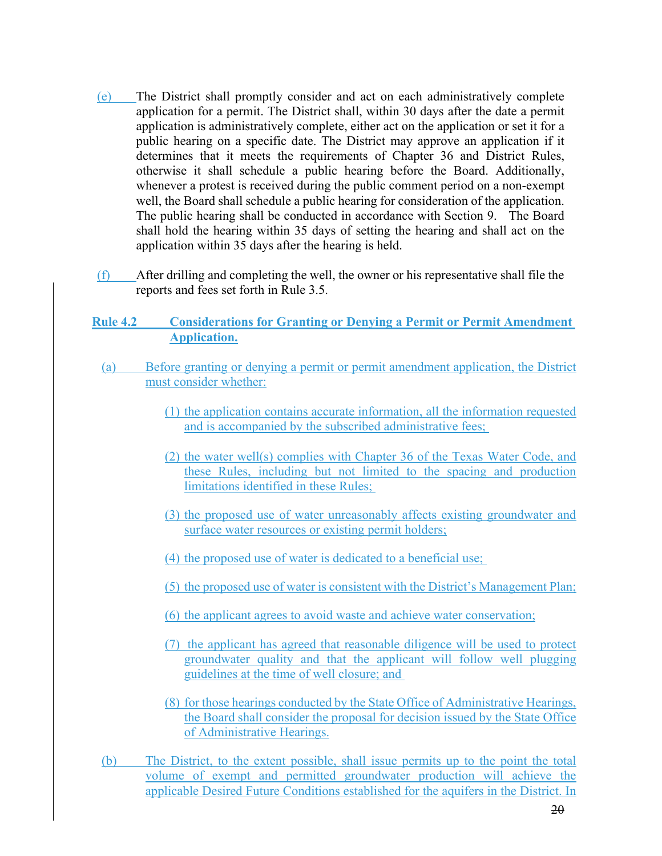- (e) The District shall promptly consider and act on each administratively complete application for a permit. The District shall, within 30 days after the date a permit application is administratively complete, either act on the application or set it for a public hearing on a specific date. The District may approve an application if it determines that it meets the requirements of Chapter 36 and District Rules, otherwise it shall schedule a public hearing before the Board. Additionally, whenever a protest is received during the public comment period on a non-exempt well, the Board shall schedule a public hearing for consideration of the application. The public hearing shall be conducted in accordance with Section 9. The Board shall hold the hearing within 35 days of setting the hearing and shall act on the application within 35 days after the hearing is held.
- (f) After drilling and completing the well, the owner or his representative shall file the reports and fees set forth in Rule 3.5.
- **Rule 4.2 Considerations for Granting or Denying a Permit or Permit Amendment Application.**
- (a) Before granting or denying a permit or permit amendment application, the District must consider whether:
	- (1) the application contains accurate information, all the information requested and is accompanied by the subscribed administrative fees;
	- (2) the water well(s) complies with Chapter 36 of the Texas Water Code, and these Rules, including but not limited to the spacing and production limitations identified in these Rules;
	- (3) the proposed use of water unreasonably affects existing groundwater and surface water resources or existing permit holders;
	- (4) the proposed use of water is dedicated to a beneficial use;
	- (5) the proposed use of water is consistent with the District's Management Plan;
	- (6) the applicant agrees to avoid waste and achieve water conservation;
	- (7) the applicant has agreed that reasonable diligence will be used to protect groundwater quality and that the applicant will follow well plugging guidelines at the time of well closure; and
	- (8) for those hearings conducted by the State Office of Administrative Hearings, the Board shall consider the proposal for decision issued by the State Office of Administrative Hearings.
- (b) The District, to the extent possible, shall issue permits up to the point the total volume of exempt and permitted groundwater production will achieve the applicable Desired Future Conditions established for the aquifers in the District. In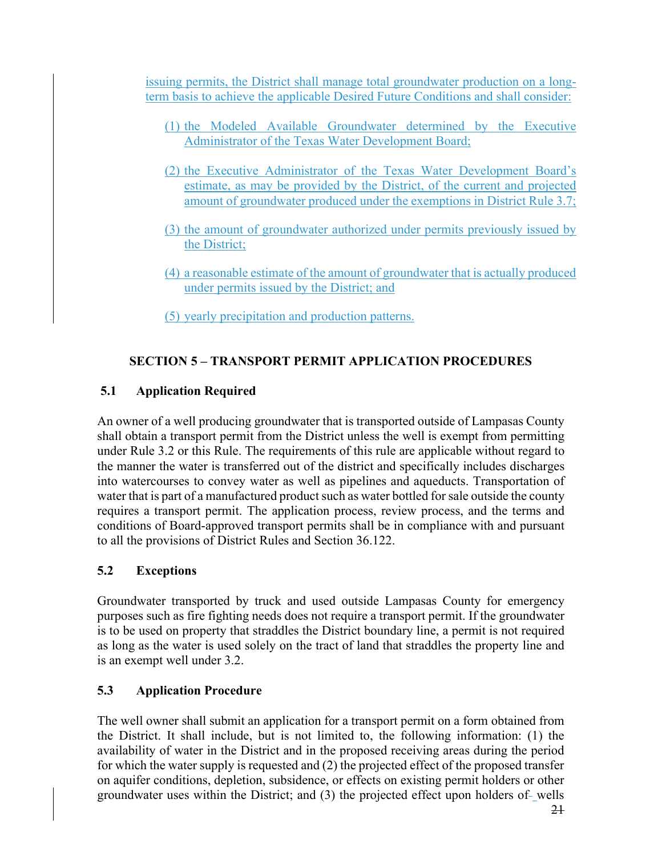issuing permits, the District shall manage total groundwater production on a longterm basis to achieve the applicable Desired Future Conditions and shall consider:

- (1) the Modeled Available Groundwater determined by the Executive Administrator of the Texas Water Development Board;
- (2) the Executive Administrator of the Texas Water Development Board's estimate, as may be provided by the District, of the current and projected amount of groundwater produced under the exemptions in District Rule 3.7;
- (3) the amount of groundwater authorized under permits previously issued by the District;
- (4) a reasonable estimate of the amount of groundwater that is actually produced under permits issued by the District; and
- (5) yearly precipitation and production patterns.

# **SECTION 5 – TRANSPORT PERMIT APPLICATION PROCEDURES**

# **5.1 Application Required**

An owner of a well producing groundwater that is transported outside of Lampasas County shall obtain a transport permit from the District unless the well is exempt from permitting under Rule 3.2 or this Rule. The requirements of this rule are applicable without regard to the manner the water is transferred out of the district and specifically includes discharges into watercourses to convey water as well as pipelines and aqueducts. Transportation of water that is part of a manufactured product such as water bottled for sale outside the county requires a transport permit. The application process, review process, and the terms and conditions of Board-approved transport permits shall be in compliance with and pursuant to all the provisions of District Rules and Section 36.122.

# **5.2 Exceptions**

Groundwater transported by truck and used outside Lampasas County for emergency purposes such as fire fighting needs does not require a transport permit. If the groundwater is to be used on property that straddles the District boundary line, a permit is not required as long as the water is used solely on the tract of land that straddles the property line and is an exempt well under 3.2.

# **5.3 Application Procedure**

The well owner shall submit an application for a transport permit on a form obtained from the District. It shall include, but is not limited to, the following information: (1) the availability of water in the District and in the proposed receiving areas during the period for which the water supply is requested and (2) the projected effect of the proposed transfer on aquifer conditions, depletion, subsidence, or effects on existing permit holders or other groundwater uses within the District; and (3) the projected effect upon holders of-wells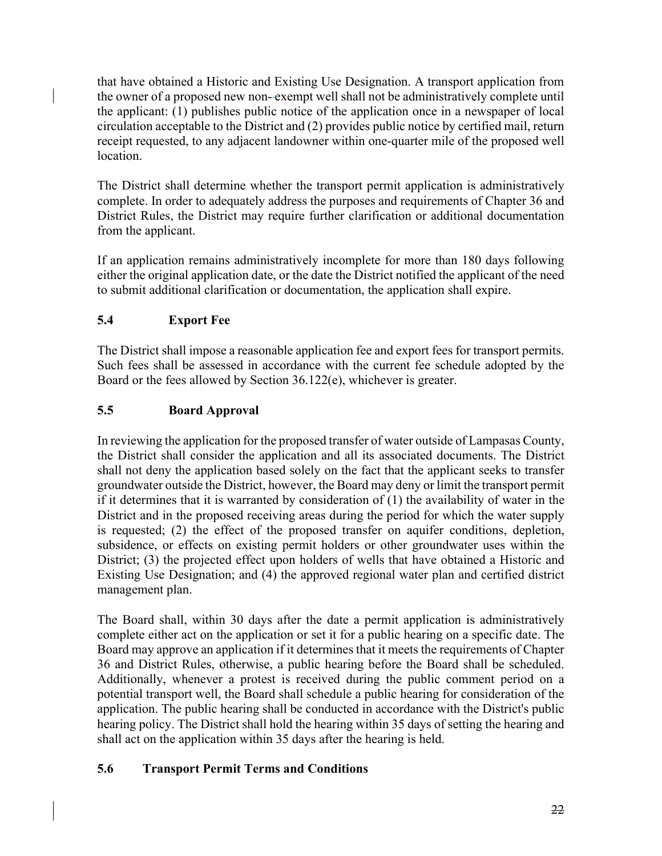that have obtained a Historic and Existing Use Designation. A transport application from the owner of a proposed new non- exempt well shall not be administratively complete until the applicant: (1) publishes public notice of the application once in a newspaper of local circulation acceptable to the District and (2) provides public notice by certified mail, return receipt requested, to any adjacent landowner within one-quarter mile of the proposed well location.

The District shall determine whether the transport permit application is administratively complete. In order to adequately address the purposes and requirements of Chapter 36 and District Rules, the District may require further clarification or additional documentation from the applicant.

If an application remains administratively incomplete for more than 180 days following either the original application date, or the date the District notified the applicant of the need to submit additional clarification or documentation, the application shall expire.

# **5.4 Export Fee**

The District shall impose a reasonable application fee and export fees for transport permits. Such fees shall be assessed in accordance with the current fee schedule adopted by the Board or the fees allowed by Section 36.122(e), whichever is greater.

# **5.5 Board Approval**

In reviewing the application for the proposed transfer of water outside of Lampasas County, the District shall consider the application and all its associated documents. The District shall not deny the application based solely on the fact that the applicant seeks to transfer groundwater outside the District, however, the Board may deny or limit the transport permit if it determines that it is warranted by consideration of (1) the availability of water in the District and in the proposed receiving areas during the period for which the water supply is requested; (2) the effect of the proposed transfer on aquifer conditions, depletion, subsidence, or effects on existing permit holders or other groundwater uses within the District; (3) the projected effect upon holders of wells that have obtained a Historic and Existing Use Designation; and (4) the approved regional water plan and certified district management plan.

The Board shall, within 30 days after the date a permit application is administratively complete either act on the application or set it for a public hearing on a specific date. The Board may approve an application if it determines that it meets the requirements of Chapter 36 and District Rules, otherwise, a public hearing before the Board shall be scheduled. Additionally, whenever a protest is received during the public comment period on a potential transport well, the Board shall schedule a public hearing for consideration of the application. The public hearing shall be conducted in accordance with the District's public hearing policy. The District shall hold the hearing within 35 days of setting the hearing and shall act on the application within 35 days after the hearing is held.

# **5.6 Transport Permit Terms and Conditions**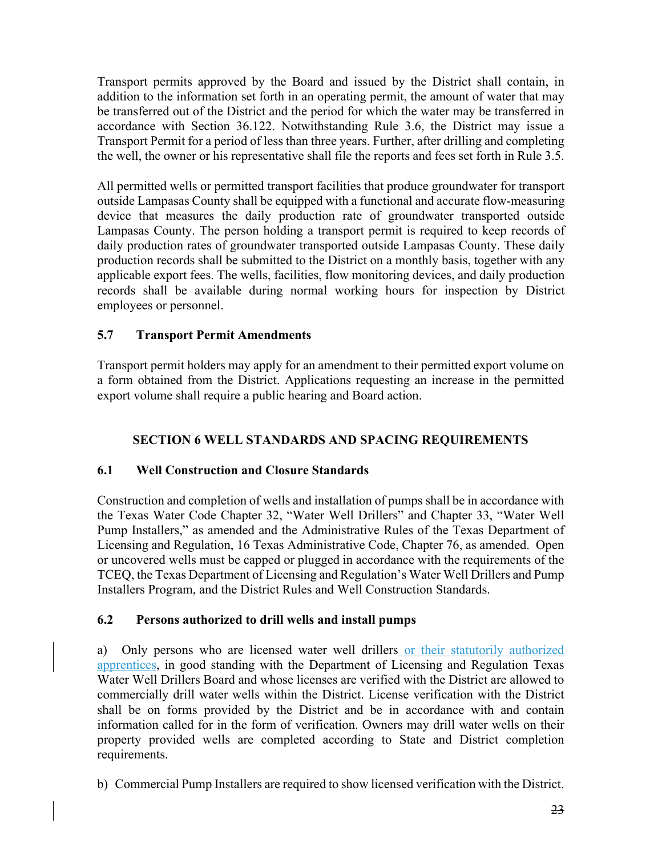Transport permits approved by the Board and issued by the District shall contain, in addition to the information set forth in an operating permit, the amount of water that may be transferred out of the District and the period for which the water may be transferred in accordance with Section 36.122. Notwithstanding Rule 3.6, the District may issue a Transport Permit for a period of less than three years. Further, after drilling and completing the well, the owner or his representative shall file the reports and fees set forth in Rule 3.5.

All permitted wells or permitted transport facilities that produce groundwater for transport outside Lampasas County shall be equipped with a functional and accurate flow-measuring device that measures the daily production rate of groundwater transported outside Lampasas County. The person holding a transport permit is required to keep records of daily production rates of groundwater transported outside Lampasas County. These daily production records shall be submitted to the District on a monthly basis, together with any applicable export fees. The wells, facilities, flow monitoring devices, and daily production records shall be available during normal working hours for inspection by District employees or personnel.

### **5.7 Transport Permit Amendments**

Transport permit holders may apply for an amendment to their permitted export volume on a form obtained from the District. Applications requesting an increase in the permitted export volume shall require a public hearing and Board action.

# **SECTION 6 WELL STANDARDS AND SPACING REQUIREMENTS**

### **6.1 Well Construction and Closure Standards**

Construction and completion of wells and installation of pumps shall be in accordance with the Texas Water Code Chapter 32, "Water Well Drillers" and Chapter 33, "Water Well Pump Installers," as amended and the Administrative Rules of the Texas Department of Licensing and Regulation, 16 Texas Administrative Code, Chapter 76, as amended. Open or uncovered wells must be capped or plugged in accordance with the requirements of the TCEQ, the Texas Department of Licensing and Regulation's Water Well Drillers and Pump Installers Program, and the District Rules and Well Construction Standards.

### **6.2 Persons authorized to drill wells and install pumps**

a) Only persons who are licensed water well drillers or their statutorily authorized apprentices, in good standing with the Department of Licensing and Regulation Texas Water Well Drillers Board and whose licenses are verified with the District are allowed to commercially drill water wells within the District. License verification with the District shall be on forms provided by the District and be in accordance with and contain information called for in the form of verification. Owners may drill water wells on their property provided wells are completed according to State and District completion requirements.

b) Commercial Pump Installers are required to show licensed verification with the District.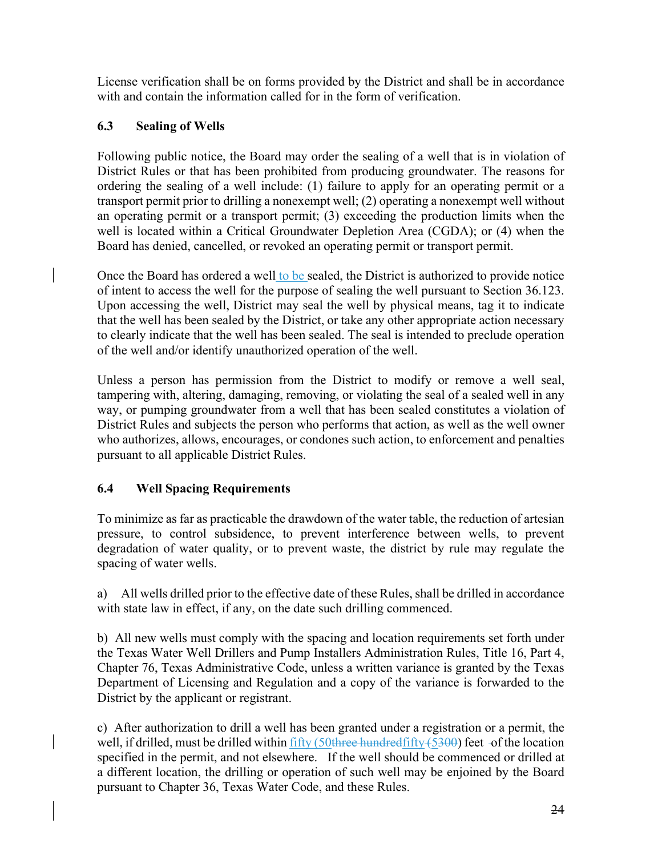License verification shall be on forms provided by the District and shall be in accordance with and contain the information called for in the form of verification.

### **6.3 Sealing of Wells**

Following public notice, the Board may order the sealing of a well that is in violation of District Rules or that has been prohibited from producing groundwater. The reasons for ordering the sealing of a well include: (1) failure to apply for an operating permit or a transport permit prior to drilling a nonexempt well; (2) operating a nonexempt well without an operating permit or a transport permit; (3) exceeding the production limits when the well is located within a Critical Groundwater Depletion Area (CGDA); or (4) when the Board has denied, cancelled, or revoked an operating permit or transport permit.

Once the Board has ordered a well to be sealed, the District is authorized to provide notice of intent to access the well for the purpose of sealing the well pursuant to Section 36.123. Upon accessing the well, District may seal the well by physical means, tag it to indicate that the well has been sealed by the District, or take any other appropriate action necessary to clearly indicate that the well has been sealed. The seal is intended to preclude operation of the well and/or identify unauthorized operation of the well.

Unless a person has permission from the District to modify or remove a well seal, tampering with, altering, damaging, removing, or violating the seal of a sealed well in any way, or pumping groundwater from a well that has been sealed constitutes a violation of District Rules and subjects the person who performs that action, as well as the well owner who authorizes, allows, encourages, or condones such action, to enforcement and penalties pursuant to all applicable District Rules.

# **6.4 Well Spacing Requirements**

To minimize as far as practicable the drawdown of the water table, the reduction of artesian pressure, to control subsidence, to prevent interference between wells, to prevent degradation of water quality, or to prevent waste, the district by rule may regulate the spacing of water wells.

a) All wells drilled prior to the effective date of these Rules, shall be drilled in accordance with state law in effect, if any, on the date such drilling commenced.

b) All new wells must comply with the spacing and location requirements set forth under the Texas Water Well Drillers and Pump Installers Administration Rules, Title 16, Part 4, Chapter 76, Texas Administrative Code, unless a written variance is granted by the Texas Department of Licensing and Regulation and a copy of the variance is forwarded to the District by the applicant or registrant.

c) After authorization to drill a well has been granted under a registration or a permit, the well, if drilled, must be drilled within  $\frac{fifty}{f}$  (50three hundred  $fifty + (5300)$  feet of the location specified in the permit, and not elsewhere. If the well should be commenced or drilled at a different location, the drilling or operation of such well may be enjoined by the Board pursuant to Chapter 36, Texas Water Code, and these Rules.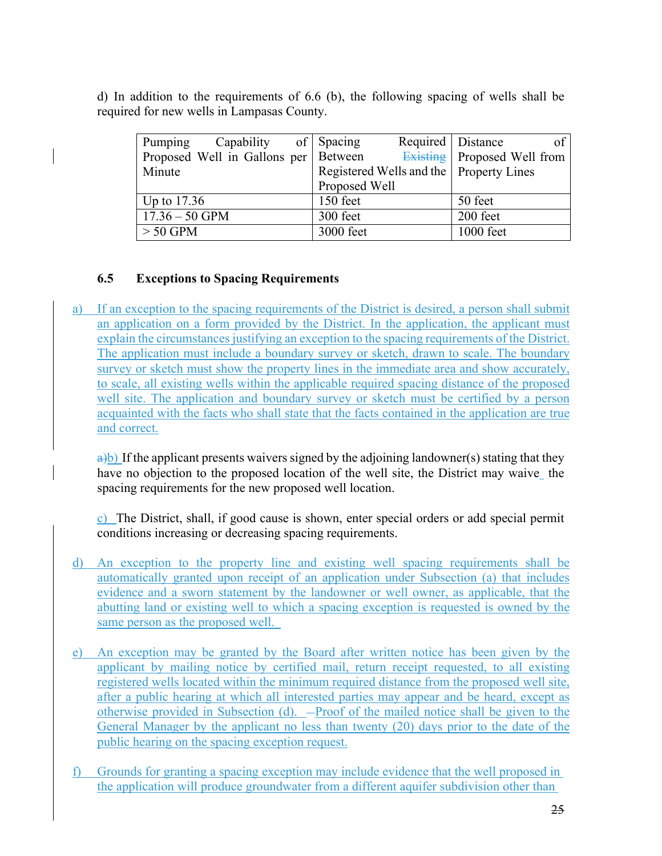d) In addition to the requirements of 6.6 (b), the following spacing of wells shall be required for new wells in Lampasas County.

| Pumping          | Capability of Spacing                  |  |                                           | Required   Distance |                                    | of |
|------------------|----------------------------------------|--|-------------------------------------------|---------------------|------------------------------------|----|
|                  | Proposed Well in Gallons per   Between |  |                                           |                     | <b>Existing</b> Proposed Well from |    |
| Minute           |                                        |  | Registered Wells and the   Property Lines |                     |                                    |    |
|                  |                                        |  | Proposed Well                             |                     |                                    |    |
| Up to $17.36$    |                                        |  | 150 feet                                  |                     | 50 feet                            |    |
| $17.36 - 50$ GPM |                                        |  | 300 feet                                  |                     | 200 feet                           |    |
| $> 50$ GPM       |                                        |  | 3000 feet                                 |                     | 1000 feet                          |    |

### **6.5 Exceptions to Spacing Requirements**

a) If an exception to the spacing requirements of the District is desired, a person shall submit an application on a form provided by the District. In the application, the applicant must explain the circumstances justifying an exception to the spacing requirements of the District. The application must include a boundary survey or sketch, drawn to scale. The boundary survey or sketch must show the property lines in the immediate area and show accurately, to scale, all existing wells within the applicable required spacing distance of the proposed well site. The application and boundary survey or sketch must be certified by a person acquainted with the facts who shall state that the facts contained in the application are true and correct.

 $\frac{a}{b}$ ) If the applicant presents waivers signed by the adjoining landowner(s) stating that they have no objection to the proposed location of the well site, the District may waive the spacing requirements for the new proposed well location.

c) The District, shall, if good cause is shown, enter special orders or add special permit conditions increasing or decreasing spacing requirements.

- d) An exception to the property line and existing well spacing requirements shall be automatically granted upon receipt of an application under Subsection (a) that includes evidence and a sworn statement by the landowner or well owner, as applicable, that the abutting land or existing well to which a spacing exception is requested is owned by the same person as the proposed well.
- e) An exception may be granted by the Board after written notice has been given by the applicant by mailing notice by certified mail, return receipt requested, to all existing registered wells located within the minimum required distance from the proposed well site, after a public hearing at which all interested parties may appear and be heard, except as otherwise provided in Subsection  $(d)$ .  $-$ Proof of the mailed notice shall be given to the General Manager by the applicant no less than twenty (20) days prior to the date of the public hearing on the spacing exception request.
- f) Grounds for granting a spacing exception may include evidence that the well proposed in the application will produce groundwater from a different aquifer subdivision other than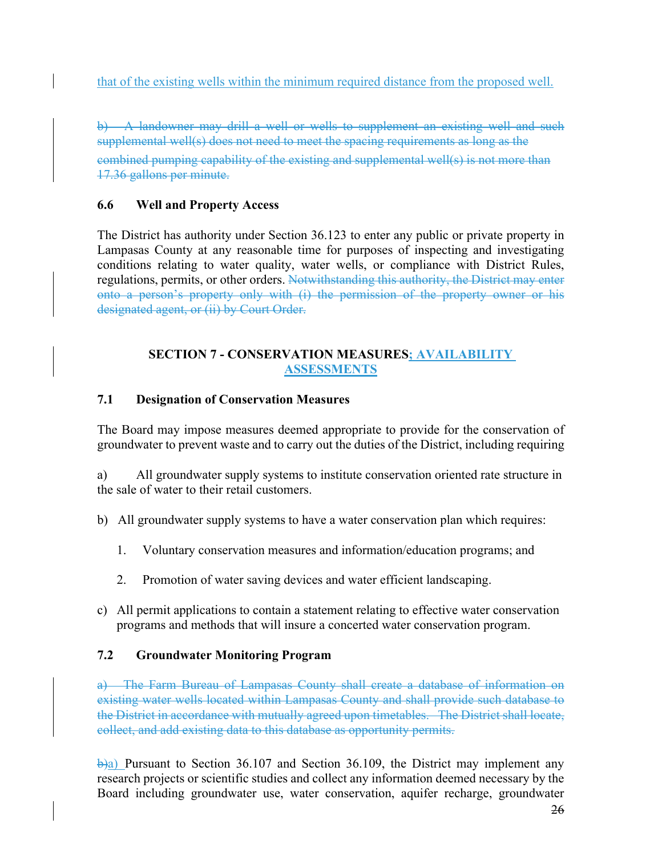that of the existing wells within the minimum required distance from the proposed well.

b) A landowner may drill a well or wells to supplement an existing well and such supplemental well(s) does not need to meet the spacing requirements as long as the combined pumping capability of the existing and supplemental well(s) is not more than 17.36 gallons per minute.

# **6.6 Well and Property Access**

The District has authority under Section 36.123 to enter any public or private property in Lampasas County at any reasonable time for purposes of inspecting and investigating conditions relating to water quality, water wells, or compliance with District Rules, regulations, permits, or other orders. Notwithstanding this authority, the District may enter onto a person's property only with (i) the permission of the property owner or his designated agent, or (ii) by Court Order.

### **SECTION 7 - CONSERVATION MEASURES; AVAILABILITY ASSESSMENTS**

### **7.1 Designation of Conservation Measures**

The Board may impose measures deemed appropriate to provide for the conservation of groundwater to prevent waste and to carry out the duties of the District, including requiring

a) All groundwater supply systems to institute conservation oriented rate structure in the sale of water to their retail customers.

b) All groundwater supply systems to have a water conservation plan which requires:

- 1. Voluntary conservation measures and information/education programs; and
- 2. Promotion of water saving devices and water efficient landscaping.
- c) All permit applications to contain a statement relating to effective water conservation programs and methods that will insure a concerted water conservation program.

# **7.2 Groundwater Monitoring Program**

a) The Farm Bureau of Lampasas County shall create a database of information on existing water wells located within Lampasas County and shall provide such database to the District in accordance with mutually agreed upon timetables. The District shall locate, collect, and add existing data to this database as opportunity permits.

 $\dot{\theta}$ a) Pursuant to Section 36.107 and Section 36.109, the District may implement any research projects or scientific studies and collect any information deemed necessary by the Board including groundwater use, water conservation, aquifer recharge, groundwater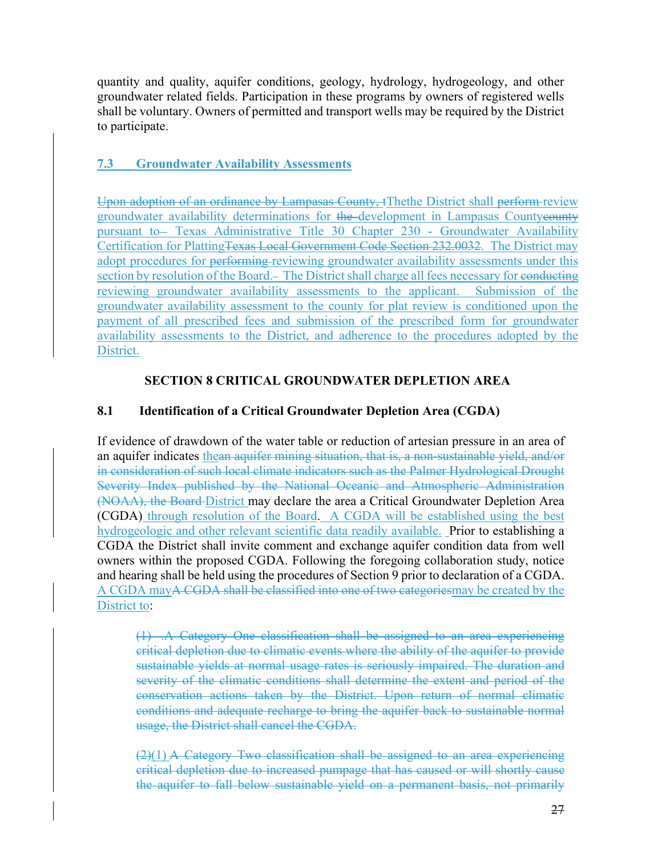quantity and quality, aquifer conditions, geology, hydrology, hydrogeology, and other groundwater related fields. Participation in these programs by owners of registered wells shall be voluntary. Owners of permitted and transport wells may be required by the District to participate.

# **7.3 Groundwater Availability Assessments**

Upon adoption of an ordinance by Lampasas County, tThethe District shall perform review groundwater availability determinations for the development in Lampasas Countyeounty pursuant to- Texas Administrative Title 30 Chapter 230 - Groundwater Availability Certification for PlattingTexas Local Government Code Section 232.0032. The District may adopt procedures for performing reviewing groundwater availability assessments under this section by resolution of the Board. The District shall charge all fees necessary for conducting reviewing groundwater availability assessments to the applicant. Submission of the groundwater availability assessment to the county for plat review is conditioned upon the payment of all prescribed fees and submission of the prescribed form for groundwater availability assessments to the District, and adherence to the procedures adopted by the District.

# **SECTION 8 CRITICAL GROUNDWATER DEPLETION AREA**

### **8.1 Identification of a Critical Groundwater Depletion Area (CGDA)**

If evidence of drawdown of the water table or reduction of artesian pressure in an area of an aquifer indicates thean aquifer mining situation, that is, a non-sustainable yield, and/or in consideration of such local climate indicators such as the Palmer Hydrological Drought Severity Index published by the National Oceanic and Atmospheric Administration (NOAA), the Board District may declare the area a Critical Groundwater Depletion Area (CGDA) through resolution of the Board. A CGDA will be established using the best hydrogeologic and other relevant scientific data readily available. Prior to establishing a CGDA the District shall invite comment and exchange aquifer condition data from well owners within the proposed CGDA. Following the foregoing collaboration study, notice and hearing shall be held using the procedures of Section 9 prior to declaration of a CGDA. A CGDA mayA CGDA shall be classified into one of two categoriesmay be created by the District to:

(1) .A Category One classification shall be assigned to an area experiencing critical depletion due to climatic events where the ability of the aquifer to provide sustainable yields at normal usage rates is seriously impaired. The duration and severity of the climatic conditions shall determine the extent and period of the conservation actions taken by the District. Upon return of normal climatic conditions and adequate recharge to bring the aquifer back to sustainable normal usage, the District shall cancel the CGDA.

 $(2)(1)$  A Category Two classification shall be assigned to an area experiencing critical depletion due to increased pumpage that has caused or will shortly cause the aquifer to fall below sustainable yield on a permanent basis, not primarily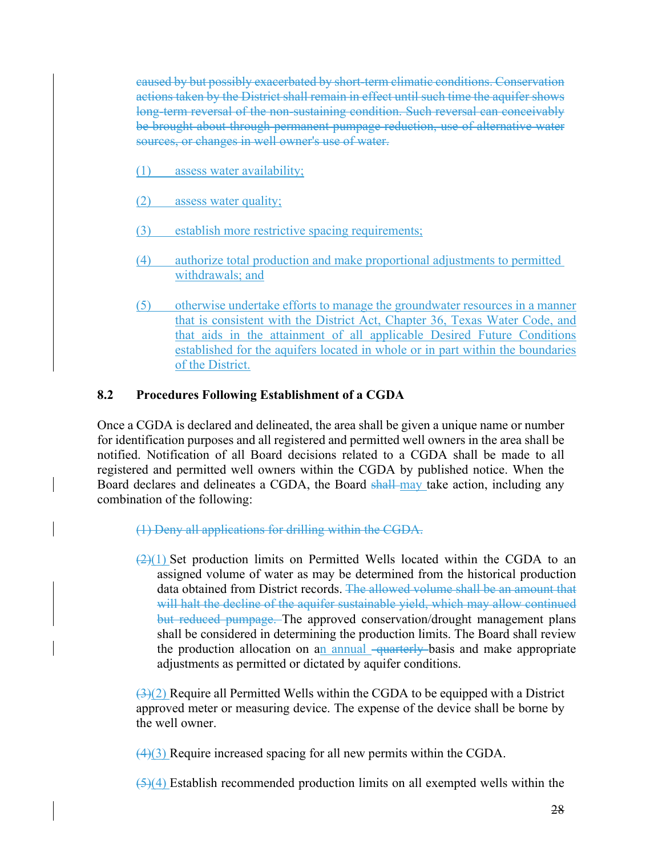caused by but possibly exacerbated by short-term climatic conditions. Conservation actions taken by the District shall remain in effect until such time the aquifer shows long-term reversal of the non-sustaining condition. Such reversal can conceivably be brought about through permanent pumpage reduction, use of alternative water sources, or changes in well owner's use of water.

- (1) assess water availability;
- (2) assess water quality;
- (3) establish more restrictive spacing requirements;
- (4) authorize total production and make proportional adjustments to permitted withdrawals; and
- (5) otherwise undertake efforts to manage the groundwater resources in a manner that is consistent with the District Act, Chapter 36, Texas Water Code, and that aids in the attainment of all applicable Desired Future Conditions established for the aquifers located in whole or in part within the boundaries of the District.

#### **8.2 Procedures Following Establishment of a CGDA**

Once a CGDA is declared and delineated, the area shall be given a unique name or number for identification purposes and all registered and permitted well owners in the area shall be notified. Notification of all Board decisions related to a CGDA shall be made to all registered and permitted well owners within the CGDA by published notice. When the Board declares and delineates a CGDA, the Board shall-may take action, including any combination of the following:

- (1) Deny all applications for drilling within the CGDA.
- $(2)(1)$  Set production limits on Permitted Wells located within the CGDA to an assigned volume of water as may be determined from the historical production data obtained from District records. The allowed volume shall be an amount that will halt the decline of the aquifer sustainable yield, which may allow continued but reduced pumpage. The approved conservation/drought management plans shall be considered in determining the production limits. The Board shall review the production allocation on an annual <del>quarterly b</del>asis and make appropriate adjustments as permitted or dictated by aquifer conditions.

 $\left(\frac{3}{2}\right)$  Require all Permitted Wells within the CGDA to be equipped with a District approved meter or measuring device. The expense of the device shall be borne by the well owner.

 $(4)(3)$  Require increased spacing for all new permits within the CGDA.

 $(5)(4)$  Establish recommended production limits on all exempted wells within the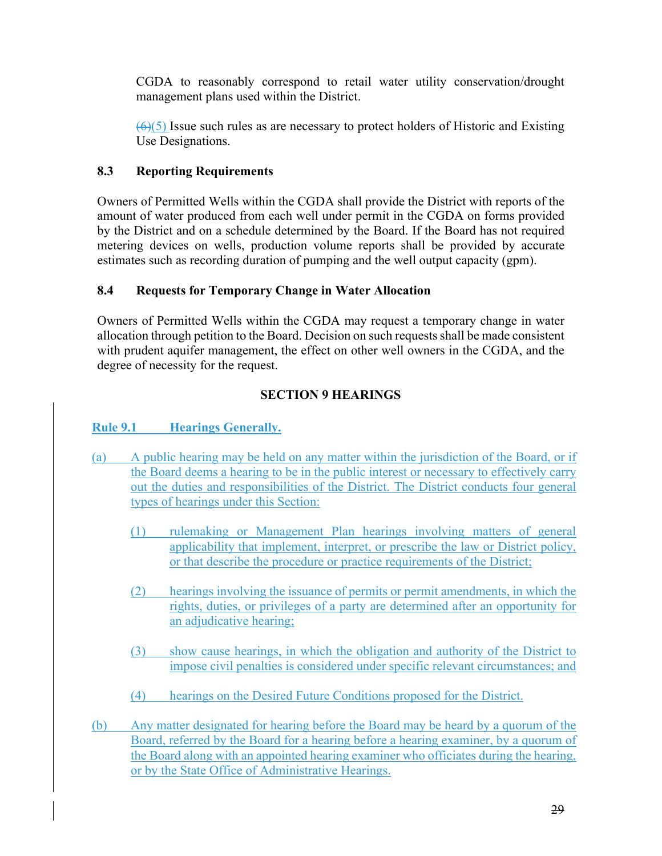CGDA to reasonably correspond to retail water utility conservation/drought management plans used within the District.

 $\left(\frac{6}{5}\right)$  Issue such rules as are necessary to protect holders of Historic and Existing Use Designations.

# **8.3 Reporting Requirements**

Owners of Permitted Wells within the CGDA shall provide the District with reports of the amount of water produced from each well under permit in the CGDA on forms provided by the District and on a schedule determined by the Board. If the Board has not required metering devices on wells, production volume reports shall be provided by accurate estimates such as recording duration of pumping and the well output capacity (gpm).

### **8.4 Requests for Temporary Change in Water Allocation**

Owners of Permitted Wells within the CGDA may request a temporary change in water allocation through petition to the Board. Decision on such requests shall be made consistent with prudent aquifer management, the effect on other well owners in the CGDA, and the degree of necessity for the request.

# **SECTION 9 HEARINGS**

# Rule 9.1 **Hearings Generally.**

- (a) A public hearing may be held on any matter within the jurisdiction of the Board, or if the Board deems a hearing to be in the public interest or necessary to effectively carry out the duties and responsibilities of the District. The District conducts four general types of hearings under this Section:
	- (1) rulemaking or Management Plan hearings involving matters of general applicability that implement, interpret, or prescribe the law or District policy, or that describe the procedure or practice requirements of the District;
	- (2) hearings involving the issuance of permits or permit amendments, in which the rights, duties, or privileges of a party are determined after an opportunity for an adjudicative hearing;
	- (3) show cause hearings, in which the obligation and authority of the District to impose civil penalties is considered under specific relevant circumstances; and
	- (4) hearings on the Desired Future Conditions proposed for the District.
- (b) Any matter designated for hearing before the Board may be heard by a quorum of the Board, referred by the Board for a hearing before a hearing examiner, by a quorum of the Board along with an appointed hearing examiner who officiates during the hearing, or by the State Office of Administrative Hearings.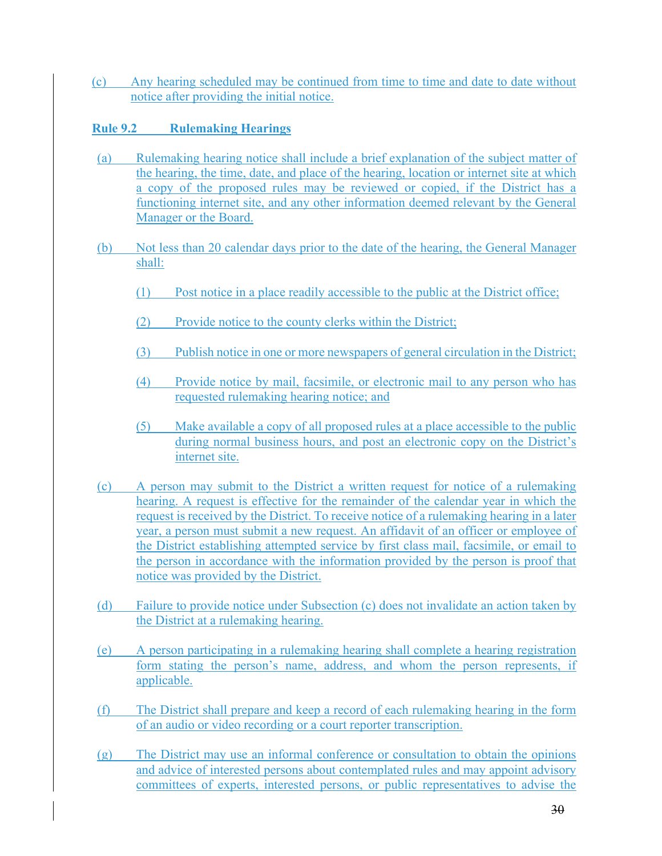(c) Any hearing scheduled may be continued from time to time and date to date without notice after providing the initial notice.

### **Rule 9.2 Rulemaking Hearings**

- (a) Rulemaking hearing notice shall include a brief explanation of the subject matter of the hearing, the time, date, and place of the hearing, location or internet site at which a copy of the proposed rules may be reviewed or copied, if the District has a functioning internet site, and any other information deemed relevant by the General Manager or the Board.
- (b) Not less than 20 calendar days prior to the date of the hearing, the General Manager shall:
	- (1) Post notice in a place readily accessible to the public at the District office;
	- (2) Provide notice to the county clerks within the District;
	- (3) Publish notice in one or more newspapers of general circulation in the District;
	- (4) Provide notice by mail, facsimile, or electronic mail to any person who has requested rulemaking hearing notice; and
	- (5) Make available a copy of all proposed rules at a place accessible to the public during normal business hours, and post an electronic copy on the District's internet site.
- (c) A person may submit to the District a written request for notice of a rulemaking hearing. A request is effective for the remainder of the calendar year in which the request is received by the District. To receive notice of a rulemaking hearing in a later year, a person must submit a new request. An affidavit of an officer or employee of the District establishing attempted service by first class mail, facsimile, or email to the person in accordance with the information provided by the person is proof that notice was provided by the District.
- (d) Failure to provide notice under Subsection (c) does not invalidate an action taken by the District at a rulemaking hearing.
- (e) A person participating in a rulemaking hearing shall complete a hearing registration form stating the person's name, address, and whom the person represents, if applicable.
- (f) The District shall prepare and keep a record of each rulemaking hearing in the form of an audio or video recording or a court reporter transcription.
- (g) The District may use an informal conference or consultation to obtain the opinions and advice of interested persons about contemplated rules and may appoint advisory committees of experts, interested persons, or public representatives to advise the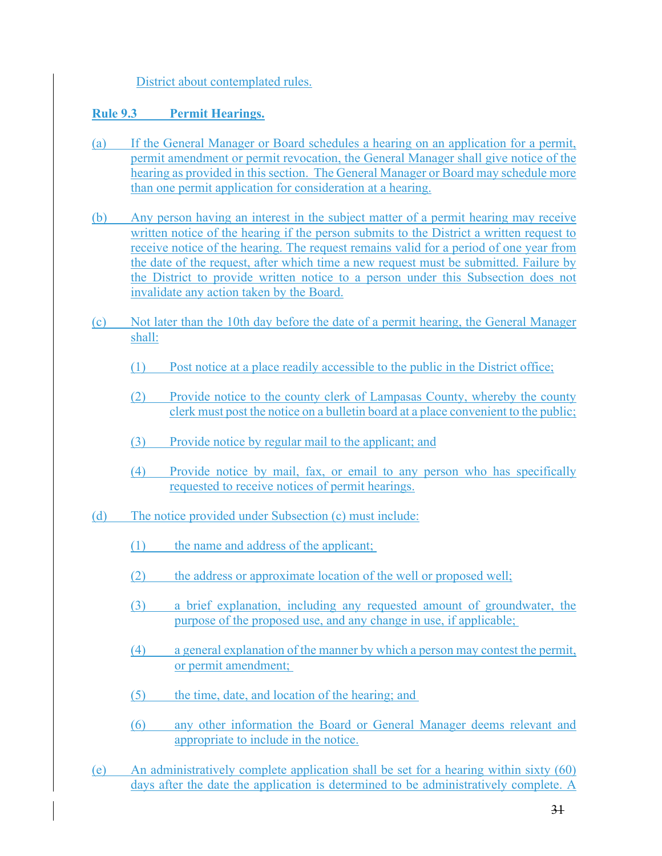### District about contemplated rules.

### **Rule 9.3 Permit Hearings.**

- (a) If the General Manager or Board schedules a hearing on an application for a permit, permit amendment or permit revocation, the General Manager shall give notice of the hearing as provided in this section. The General Manager or Board may schedule more than one permit application for consideration at a hearing.
- (b) Any person having an interest in the subject matter of a permit hearing may receive written notice of the hearing if the person submits to the District a written request to receive notice of the hearing. The request remains valid for a period of one year from the date of the request, after which time a new request must be submitted. Failure by the District to provide written notice to a person under this Subsection does not invalidate any action taken by the Board.
- (c) Not later than the 10th day before the date of a permit hearing, the General Manager shall:
	- (1) Post notice at a place readily accessible to the public in the District office;
	- (2) Provide notice to the county clerk of Lampasas County, whereby the county clerk must post the notice on a bulletin board at a place convenient to the public;
	- (3) Provide notice by regular mail to the applicant; and
	- (4) Provide notice by mail, fax, or email to any person who has specifically requested to receive notices of permit hearings.
- (d) The notice provided under Subsection (c) must include:
	- (1) the name and address of the applicant;
	- (2) the address or approximate location of the well or proposed well;
	- (3) a brief explanation, including any requested amount of groundwater, the purpose of the proposed use, and any change in use, if applicable;
	- (4) a general explanation of the manner by which a person may contest the permit, or permit amendment;
	- (5) the time, date, and location of the hearing; and
	- (6) any other information the Board or General Manager deems relevant and appropriate to include in the notice.
- (e) An administratively complete application shall be set for a hearing within sixty (60) days after the date the application is determined to be administratively complete. A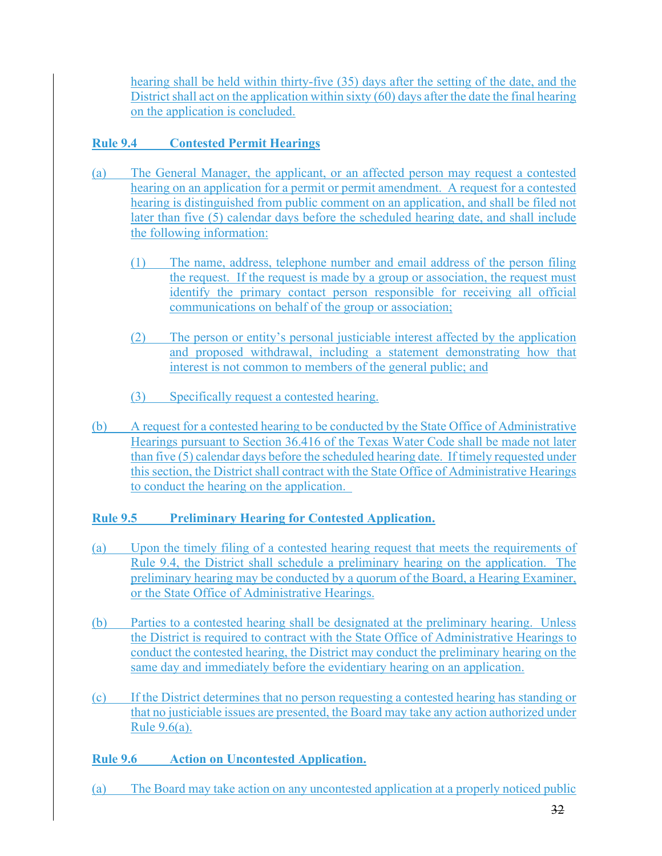hearing shall be held within thirty-five (35) days after the setting of the date, and the District shall act on the application within sixty (60) days after the date the final hearing on the application is concluded.

# **Rule 9.4 Contested Permit Hearings**

- (a) The General Manager, the applicant, or an affected person may request a contested hearing on an application for a permit or permit amendment. A request for a contested hearing is distinguished from public comment on an application, and shall be filed not later than five (5) calendar days before the scheduled hearing date, and shall include the following information:
	- (1) The name, address, telephone number and email address of the person filing the request. If the request is made by a group or association, the request must identify the primary contact person responsible for receiving all official communications on behalf of the group or association;
	- (2) The person or entity's personal justiciable interest affected by the application and proposed withdrawal, including a statement demonstrating how that interest is not common to members of the general public; and
	- (3) Specifically request a contested hearing.
- (b) A request for a contested hearing to be conducted by the State Office of Administrative Hearings pursuant to Section 36.416 of the Texas Water Code shall be made not later than five (5) calendar days before the scheduled hearing date. If timely requested under this section, the District shall contract with the State Office of Administrative Hearings to conduct the hearing on the application.

# **Rule 9.5 Preliminary Hearing for Contested Application.**

- (a) Upon the timely filing of a contested hearing request that meets the requirements of Rule 9.4, the District shall schedule a preliminary hearing on the application. The preliminary hearing may be conducted by a quorum of the Board, a Hearing Examiner, or the State Office of Administrative Hearings.
- (b) Parties to a contested hearing shall be designated at the preliminary hearing. Unless the District is required to contract with the State Office of Administrative Hearings to conduct the contested hearing, the District may conduct the preliminary hearing on the same day and immediately before the evidentiary hearing on an application.
- (c) If the District determines that no person requesting a contested hearing has standing or that no justiciable issues are presented, the Board may take any action authorized under Rule 9.6(a).

# **Rule 9.6 Action on Uncontested Application.**

(a) The Board may take action on any uncontested application at a properly noticed public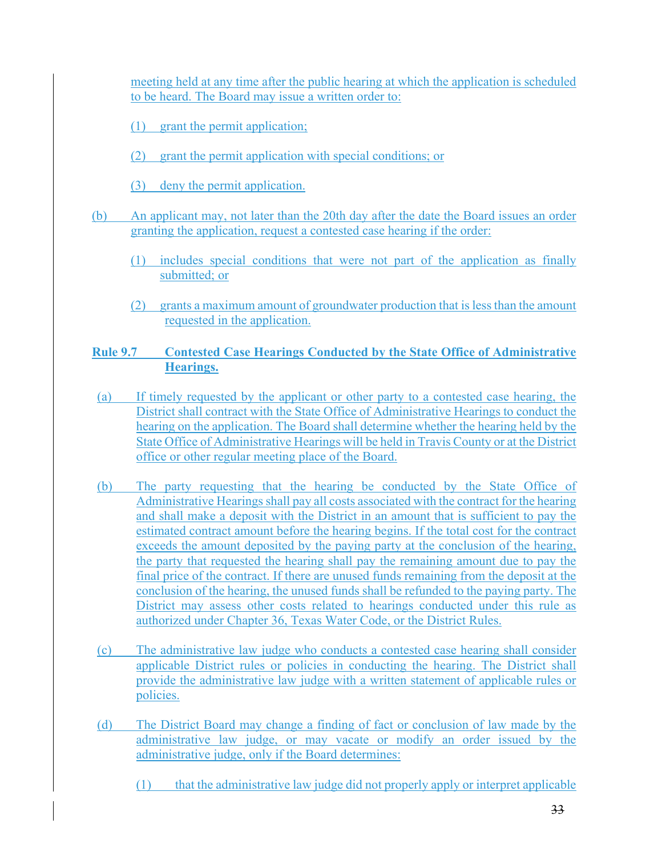meeting held at any time after the public hearing at which the application is scheduled to be heard. The Board may issue a written order to:

- (1) grant the permit application;
- (2) grant the permit application with special conditions; or
- (3) deny the permit application.
- (b) An applicant may, not later than the 20th day after the date the Board issues an order granting the application, request a contested case hearing if the order:
	- (1) includes special conditions that were not part of the application as finally submitted; or
	- (2) grants a maximum amount of groundwater production that is less than the amount requested in the application.

### **Rule 9.7 Contested Case Hearings Conducted by the State Office of Administrative Hearings.**

- (a) If timely requested by the applicant or other party to a contested case hearing, the District shall contract with the State Office of Administrative Hearings to conduct the hearing on the application. The Board shall determine whether the hearing held by the State Office of Administrative Hearings will be held in Travis County or at the District office or other regular meeting place of the Board.
- (b) The party requesting that the hearing be conducted by the State Office of Administrative Hearings shall pay all costs associated with the contract for the hearing and shall make a deposit with the District in an amount that is sufficient to pay the estimated contract amount before the hearing begins. If the total cost for the contract exceeds the amount deposited by the paying party at the conclusion of the hearing, the party that requested the hearing shall pay the remaining amount due to pay the final price of the contract. If there are unused funds remaining from the deposit at the conclusion of the hearing, the unused funds shall be refunded to the paying party. The District may assess other costs related to hearings conducted under this rule as authorized under Chapter 36, Texas Water Code, or the District Rules.
- (c) The administrative law judge who conducts a contested case hearing shall consider applicable District rules or policies in conducting the hearing. The District shall provide the administrative law judge with a written statement of applicable rules or policies.
- (d) The District Board may change a finding of fact or conclusion of law made by the administrative law judge, or may vacate or modify an order issued by the administrative judge, only if the Board determines:
	- (1) that the administrative law judge did not properly apply or interpret applicable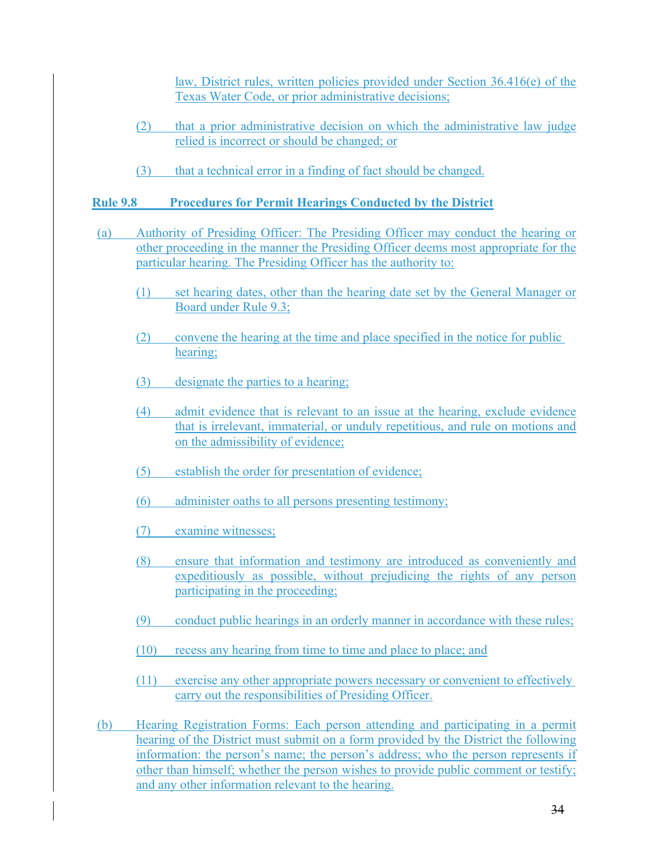law, District rules, written policies provided under Section 36.416(e) of the Texas Water Code, or prior administrative decisions;

- (2) that a prior administrative decision on which the administrative law judge relied is incorrect or should be changed; or
- (3) that a technical error in a finding of fact should be changed.

### **Rule 9.8 Procedures for Permit Hearings Conducted by the District**

- (a) Authority of Presiding Officer: The Presiding Officer may conduct the hearing or other proceeding in the manner the Presiding Officer deems most appropriate for the particular hearing. The Presiding Officer has the authority to:
	- (1) set hearing dates, other than the hearing date set by the General Manager or Board under Rule 9.3;
	- (2) convene the hearing at the time and place specified in the notice for public hearing;
	- (3) designate the parties to a hearing;
	- (4) admit evidence that is relevant to an issue at the hearing, exclude evidence that is irrelevant, immaterial, or unduly repetitious, and rule on motions and on the admissibility of evidence;
	- (5) establish the order for presentation of evidence;
	- (6) administer oaths to all persons presenting testimony;
	- (7) examine witnesses;
	- (8) ensure that information and testimony are introduced as conveniently and expeditiously as possible, without prejudicing the rights of any person participating in the proceeding;
	- (9) conduct public hearings in an orderly manner in accordance with these rules;
	- (10) recess any hearing from time to time and place to place; and
	- (11) exercise any other appropriate powers necessary or convenient to effectively carry out the responsibilities of Presiding Officer.
- (b) Hearing Registration Forms: Each person attending and participating in a permit hearing of the District must submit on a form provided by the District the following information: the person's name; the person's address; who the person represents if other than himself; whether the person wishes to provide public comment or testify; and any other information relevant to the hearing.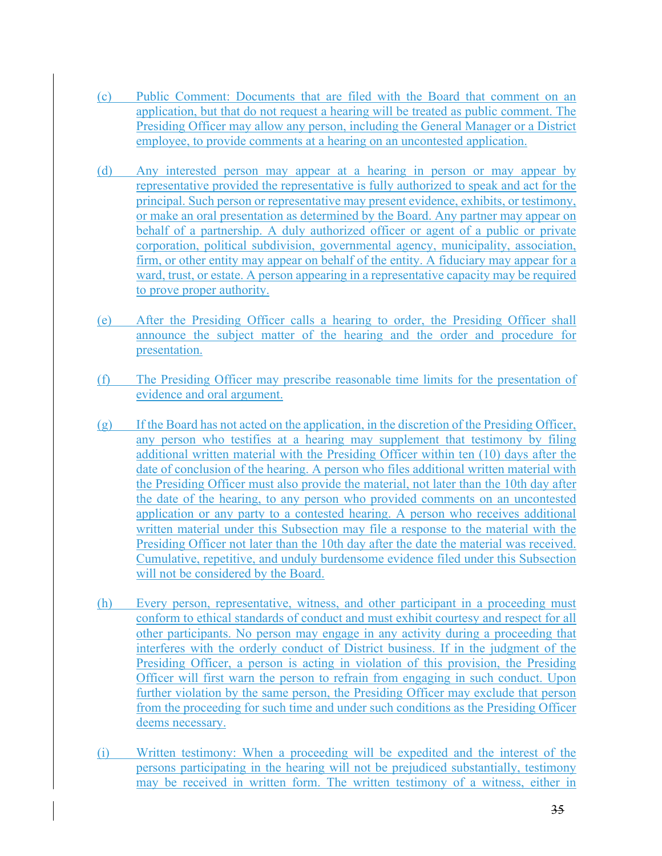- (c) Public Comment: Documents that are filed with the Board that comment on an application, but that do not request a hearing will be treated as public comment. The Presiding Officer may allow any person, including the General Manager or a District employee, to provide comments at a hearing on an uncontested application.
- (d) Any interested person may appear at a hearing in person or may appear by representative provided the representative is fully authorized to speak and act for the principal. Such person or representative may present evidence, exhibits, or testimony, or make an oral presentation as determined by the Board. Any partner may appear on behalf of a partnership. A duly authorized officer or agent of a public or private corporation, political subdivision, governmental agency, municipality, association, firm, or other entity may appear on behalf of the entity. A fiduciary may appear for a ward, trust, or estate. A person appearing in a representative capacity may be required to prove proper authority.
- (e) After the Presiding Officer calls a hearing to order, the Presiding Officer shall announce the subject matter of the hearing and the order and procedure for presentation.
- (f) The Presiding Officer may prescribe reasonable time limits for the presentation of evidence and oral argument.
- (g) If the Board has not acted on the application, in the discretion of the Presiding Officer, any person who testifies at a hearing may supplement that testimony by filing additional written material with the Presiding Officer within ten (10) days after the date of conclusion of the hearing. A person who files additional written material with the Presiding Officer must also provide the material, not later than the 10th day after the date of the hearing, to any person who provided comments on an uncontested application or any party to a contested hearing. A person who receives additional written material under this Subsection may file a response to the material with the Presiding Officer not later than the 10th day after the date the material was received. Cumulative, repetitive, and unduly burdensome evidence filed under this Subsection will not be considered by the Board.
- (h) Every person, representative, witness, and other participant in a proceeding must conform to ethical standards of conduct and must exhibit courtesy and respect for all other participants. No person may engage in any activity during a proceeding that interferes with the orderly conduct of District business. If in the judgment of the Presiding Officer, a person is acting in violation of this provision, the Presiding Officer will first warn the person to refrain from engaging in such conduct. Upon further violation by the same person, the Presiding Officer may exclude that person from the proceeding for such time and under such conditions as the Presiding Officer deems necessary.
- (i) Written testimony: When a proceeding will be expedited and the interest of the persons participating in the hearing will not be prejudiced substantially, testimony may be received in written form. The written testimony of a witness, either in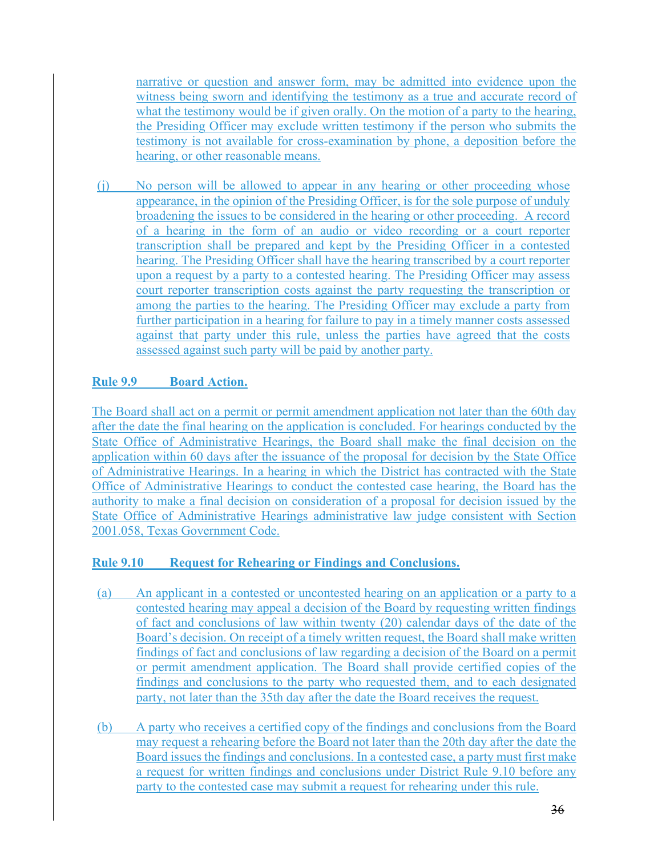narrative or question and answer form, may be admitted into evidence upon the witness being sworn and identifying the testimony as a true and accurate record of what the testimony would be if given orally. On the motion of a party to the hearing, the Presiding Officer may exclude written testimony if the person who submits the testimony is not available for cross-examination by phone, a deposition before the hearing, or other reasonable means.

(j) No person will be allowed to appear in any hearing or other proceeding whose appearance, in the opinion of the Presiding Officer, is for the sole purpose of unduly broadening the issues to be considered in the hearing or other proceeding. A record of a hearing in the form of an audio or video recording or a court reporter transcription shall be prepared and kept by the Presiding Officer in a contested hearing. The Presiding Officer shall have the hearing transcribed by a court reporter upon a request by a party to a contested hearing. The Presiding Officer may assess court reporter transcription costs against the party requesting the transcription or among the parties to the hearing. The Presiding Officer may exclude a party from further participation in a hearing for failure to pay in a timely manner costs assessed against that party under this rule, unless the parties have agreed that the costs assessed against such party will be paid by another party.

### **Rule 9.9 Board Action.**

The Board shall act on a permit or permit amendment application not later than the 60th day after the date the final hearing on the application is concluded. For hearings conducted by the State Office of Administrative Hearings, the Board shall make the final decision on the application within 60 days after the issuance of the proposal for decision by the State Office of Administrative Hearings. In a hearing in which the District has contracted with the State Office of Administrative Hearings to conduct the contested case hearing, the Board has the authority to make a final decision on consideration of a proposal for decision issued by the State Office of Administrative Hearings administrative law judge consistent with Section 2001.058, Texas Government Code.

### **Rule 9.10 Request for Rehearing or Findings and Conclusions.**

- (a) An applicant in a contested or uncontested hearing on an application or a party to a contested hearing may appeal a decision of the Board by requesting written findings of fact and conclusions of law within twenty (20) calendar days of the date of the Board's decision. On receipt of a timely written request, the Board shall make written findings of fact and conclusions of law regarding a decision of the Board on a permit or permit amendment application. The Board shall provide certified copies of the findings and conclusions to the party who requested them, and to each designated party, not later than the 35th day after the date the Board receives the request.
- (b) A party who receives a certified copy of the findings and conclusions from the Board may request a rehearing before the Board not later than the 20th day after the date the Board issues the findings and conclusions. In a contested case, a party must first make a request for written findings and conclusions under District Rule 9.10 before any party to the contested case may submit a request for rehearing under this rule.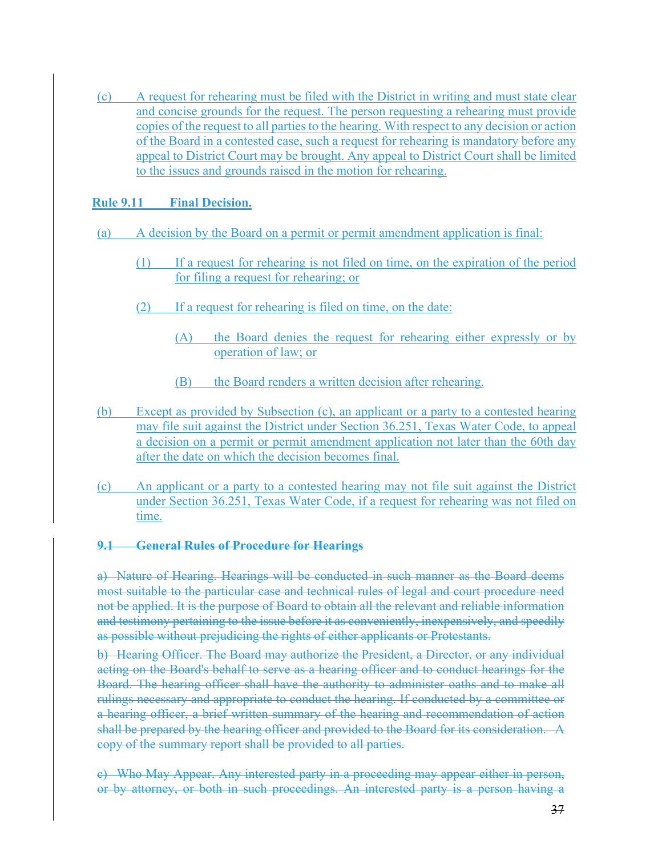(c) A request for rehearing must be filed with the District in writing and must state clear and concise grounds for the request. The person requesting a rehearing must provide copies of the request to all parties to the hearing. With respect to any decision or action of the Board in a contested case, such a request for rehearing is mandatory before any appeal to District Court may be brought. Any appeal to District Court shall be limited to the issues and grounds raised in the motion for rehearing.

#### **Rule 9.11 Final Decision.**

- (a) A decision by the Board on a permit or permit amendment application is final:
	- (1) If a request for rehearing is not filed on time, on the expiration of the period for filing a request for rehearing; or
	- (2) If a request for rehearing is filed on time, on the date:
		- (A) the Board denies the request for rehearing either expressly or by operation of law; or
		- (B) the Board renders a written decision after rehearing.
- (b) Except as provided by Subsection (c), an applicant or a party to a contested hearing may file suit against the District under Section 36.251, Texas Water Code, to appeal a decision on a permit or permit amendment application not later than the 60th day after the date on which the decision becomes final.
- (c) An applicant or a party to a contested hearing may not file suit against the District under Section 36.251, Texas Water Code, if a request for rehearing was not filed on time.

### **9.1 General Rules of Procedure for Hearings**

a) Nature of Hearing. Hearings will be conducted in such manner as the Board deems most suitable to the particular case and technical rules of legal and court procedure need not be applied. It is the purpose of Board to obtain all the relevant and reliable information and testimony pertaining to the issue before it as conveniently, inexpensively, and speedily as possible without prejudicing the rights of either applicants or Protestants.

b) Hearing Officer. The Board may authorize the President, a Director, or any individual acting on the Board's behalf to serve as a hearing officer and to conduct hearings for the Board. The hearing officer shall have the authority to administer oaths and to make all rulings necessary and appropriate to conduct the hearing. If conducted by a committee or a hearing officer, a brief written summary of the hearing and recommendation of action shall be prepared by the hearing officer and provided to the Board for its consideration. A copy of the summary report shall be provided to all parties.

c) Who May Appear. Any interested party in a proceeding may appear either in person, or by attorney, or both in such proceedings. An interested party is a person having a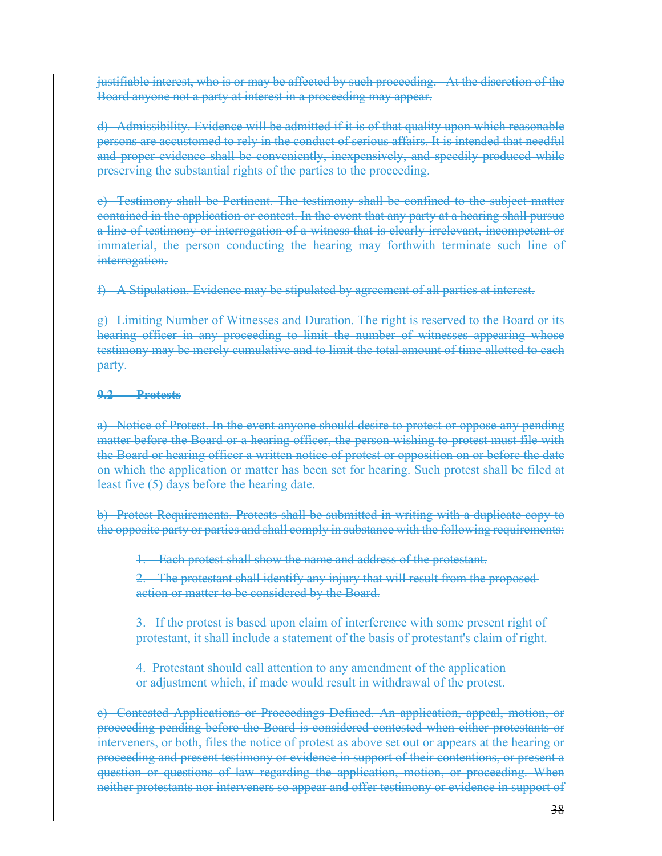justifiable interest, who is or may be affected by such proceeding. At the discretion of the Board anyone not a party at interest in a proceeding may appear.

d) Admissibility. Evidence will be admitted if it is of that quality upon which reasonable persons are accustomed to rely in the conduct of serious affairs. It is intended that needful and proper evidence shall be conveniently, inexpensively, and speedily produced while preserving the substantial rights of the parties to the proceeding.

e) Testimony shall be Pertinent. The testimony shall be confined to the subject matter contained in the application or contest. In the event that any party at a hearing shall pursue a line of testimony or interrogation of a witness that is clearly irrelevant, incompetent or immaterial, the person conducting the hearing may forthwith terminate such line of interrogation.

f) A Stipulation. Evidence may be stipulated by agreement of all parties at interest.

g) Limiting Number of Witnesses and Duration. The right is reserved to the Board or its hearing officer in any proceeding to limit the number of witnesses appearing whose testimony may be merely cumulative and to limit the total amount of time allotted to each party.

#### **9.2 Protests**

a) Notice of Protest. In the event anyone should desire to protest or oppose any pending matter before the Board or a hearing officer, the person wishing to protest must file with the Board or hearing officer a written notice of protest or opposition on or before the date on which the application or matter has been set for hearing. Such protest shall be filed at least five (5) days before the hearing date.

b) Protest Requirements. Protests shall be submitted in writing with a duplicate copy to the opposite party or parties and shall comply in substance with the following requirements:

Each protest shall show the name and address of the protestant.

2. The protestant shall identify any injury that will result from the proposed action or matter to be considered by the Board.

3. If the protest is based upon claim of interference with some present right of protestant, it shall include a statement of the basis of protestant's claim of right.

4. Protestant should call attention to any amendment of the application or adjustment which, if made would result in withdrawal of the protest.

c) Contested Applications or Proceedings Defined. An application, appeal, motion, or proceeding pending before the Board is considered contested when either protestants or interveners, or both, files the notice of protest as above set out or appears at the hearing or proceeding and present testimony or evidence in support of their contentions, or present a question or questions of law regarding the application, motion, or proceeding. When neither protestants nor interveners so appear and offer testimony or evidence in support of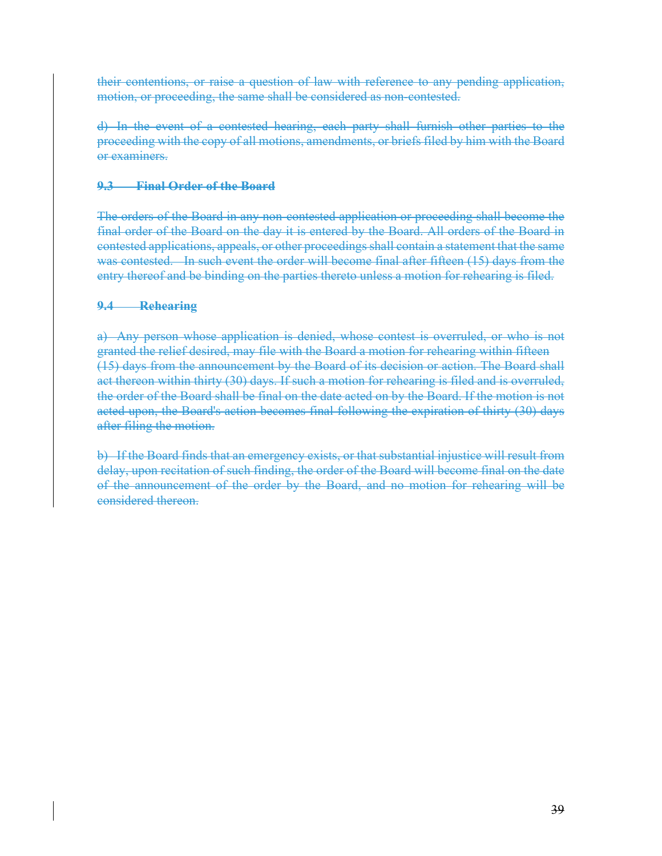their contentions, or raise a question of law with reference to any pending application, motion, or proceeding, the same shall be considered as non-contested.

d) In the event of a contested hearing, each party shall furnish other parties to the proceeding with the copy of all motions, amendments, or briefs filed by him with the Board or examiners.

#### **9.3 Final Order of the Board**

The orders of the Board in any non-contested application or proceeding shall become the final order of the Board on the day it is entered by the Board. All orders of the Board in contested applications, appeals, or other proceedings shall contain a statement that the same was contested. In such event the order will become final after fifteen (15) days from the entry thereof and be binding on the parties thereto unless a motion for rehearing is filed.

#### **9.4 Rehearing**

a) Any person whose application is denied, whose contest is overruled, or who is not granted the relief desired, may file with the Board a motion for rehearing within fifteen (15) days from the announcement by the Board of its decision or action. The Board shall act thereon within thirty (30) days. If such a motion for rehearing is filed and is overruled, the order of the Board shall be final on the date acted on by the Board. If the motion is not acted upon, the Board's action becomes final following the expiration of thirty (30) days after filing the motion.

b) If the Board finds that an emergency exists, or that substantial injustice will result from delay, upon recitation of such finding, the order of the Board will become final on the date of the announcement of the order by the Board, and no motion for rehearing will be considered thereon.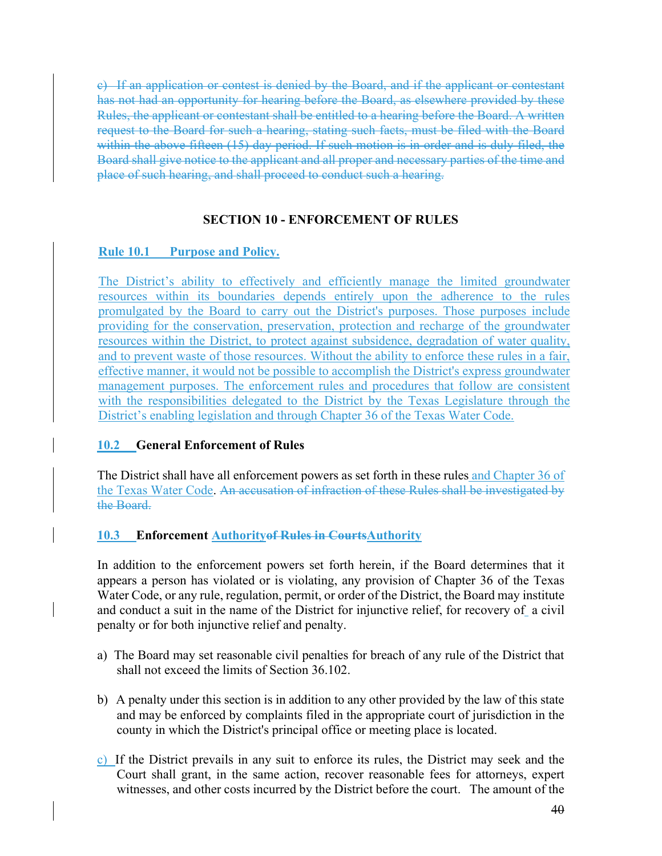c) If an application or contest is denied by the Board, and if the applicant or contestant has not had an opportunity for hearing before the Board, as elsewhere provided by these Rules, the applicant or contestant shall be entitled to a hearing before the Board. A written request to the Board for such a hearing, stating such facts, must be filed with the Board within the above fifteen (15) day period. If such motion is in order and is duly filed, the Board shall give notice to the applicant and all proper and necessary parties of the time and place of such hearing, and shall proceed to conduct such a hearing.

### **SECTION 10 - ENFORCEMENT OF RULES**

### **Rule 10.1 Purpose and Policy.**

The District's ability to effectively and efficiently manage the limited groundwater resources within its boundaries depends entirely upon the adherence to the rules promulgated by the Board to carry out the District's purposes. Those purposes include providing for the conservation, preservation, protection and recharge of the groundwater resources within the District, to protect against subsidence, degradation of water quality, and to prevent waste of those resources. Without the ability to enforce these rules in a fair, effective manner, it would not be possible to accomplish the District's express groundwater management purposes. The enforcement rules and procedures that follow are consistent with the responsibilities delegated to the District by the Texas Legislature through the District's enabling legislation and through Chapter 36 of the Texas Water Code.

### **10.2 General Enforcement of Rules**

The District shall have all enforcement powers as set forth in these rules and Chapter 36 of the Texas Water Code. An accusation of infraction of these Rules shall be investigated by the Board.

### **10.3 Enforcement Authorityof Rules in CourtsAuthority**

In addition to the enforcement powers set forth herein, if the Board determines that it appears a person has violated or is violating, any provision of Chapter 36 of the Texas Water Code, or any rule, regulation, permit, or order of the District, the Board may institute and conduct a suit in the name of the District for injunctive relief, for recovery of a civil penalty or for both injunctive relief and penalty.

- a) The Board may set reasonable civil penalties for breach of any rule of the District that shall not exceed the limits of Section 36.102.
- b) A penalty under this section is in addition to any other provided by the law of this state and may be enforced by complaints filed in the appropriate court of jurisdiction in the county in which the District's principal office or meeting place is located.
- c) If the District prevails in any suit to enforce its rules, the District may seek and the Court shall grant, in the same action, recover reasonable fees for attorneys, expert witnesses, and other costs incurred by the District before the court. The amount of the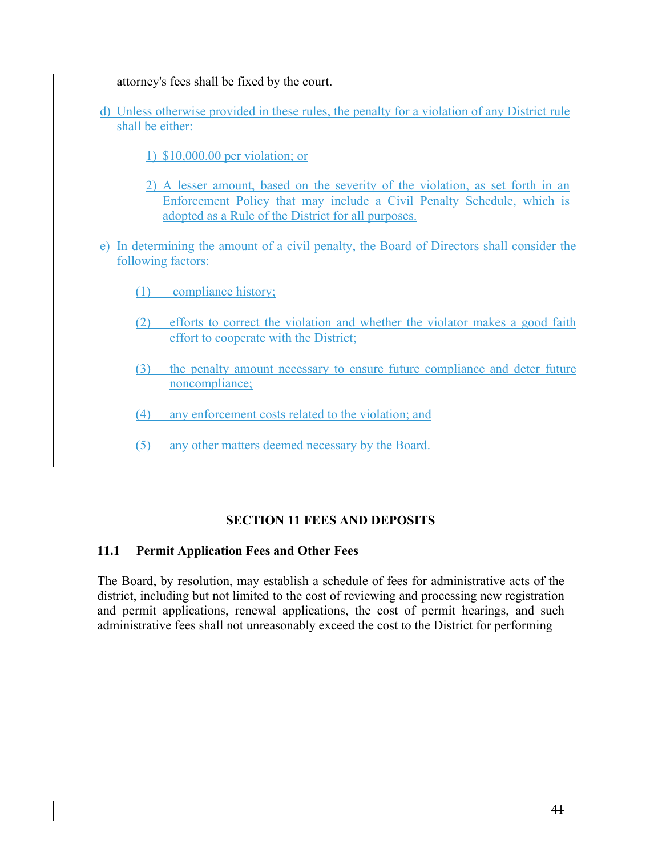attorney's fees shall be fixed by the court.

- d) Unless otherwise provided in these rules, the penalty for a violation of any District rule shall be either:
	- 1) \$10,000.00 per violation; or
	- 2) A lesser amount, based on the severity of the violation, as set forth in an Enforcement Policy that may include a Civil Penalty Schedule, which is adopted as a Rule of the District for all purposes.
- e) In determining the amount of a civil penalty, the Board of Directors shall consider the following factors:
	- (1) compliance history;
	- (2) efforts to correct the violation and whether the violator makes a good faith effort to cooperate with the District;
	- (3) the penalty amount necessary to ensure future compliance and deter future noncompliance;
	- (4) any enforcement costs related to the violation; and
	- (5) any other matters deemed necessary by the Board.

### **SECTION 11 FEES AND DEPOSITS**

#### **11.1 Permit Application Fees and Other Fees**

The Board, by resolution, may establish a schedule of fees for administrative acts of the district, including but not limited to the cost of reviewing and processing new registration and permit applications, renewal applications, the cost of permit hearings, and such administrative fees shall not unreasonably exceed the cost to the District for performing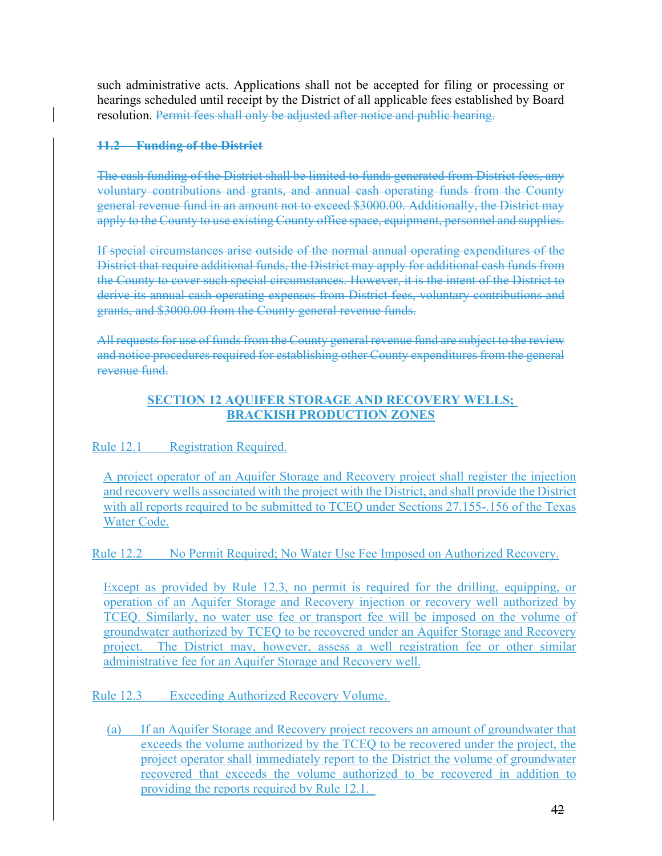such administrative acts. Applications shall not be accepted for filing or processing or hearings scheduled until receipt by the District of all applicable fees established by Board resolution. Permit fees shall only be adjusted after notice and public hearing.

### **11.2 Funding of the District**

The cash funding of the District shall be limited to funds generated from District fees, any voluntary contributions and grants, and annual cash operating funds from the County general revenue fund in an amount not to exceed \$3000.00. Additionally, the District may apply to the County to use existing County office space, equipment, personnel and supplies.

If special circumstances arise outside of the normal annual operating expenditures of the District that require additional funds, the District may apply for additional cash funds from the County to cover such special circumstances. However, it is the intent of the District to derive its annual cash operating expenses from District fees, voluntary contributions and grants, and \$3000.00 from the County general revenue funds.

All requests for use of funds from the County general revenue fund are subject to the review and notice procedures required for establishing other County expenditures from the general revenue fund.

### **SECTION 12 AQUIFER STORAGE AND RECOVERY WELLS; BRACKISH PRODUCTION ZONES**

# Rule 12.1 Registration Required.

A project operator of an Aquifer Storage and Recovery project shall register the injection and recovery wells associated with the project with the District, and shall provide the District with all reports required to be submitted to TCEQ under Sections 27.155-.156 of the Texas Water Code.

### Rule 12.2 No Permit Required; No Water Use Fee Imposed on Authorized Recovery.

Except as provided by Rule 12.3, no permit is required for the drilling, equipping, or operation of an Aquifer Storage and Recovery injection or recovery well authorized by TCEQ. Similarly, no water use fee or transport fee will be imposed on the volume of groundwater authorized by TCEQ to be recovered under an Aquifer Storage and Recovery project. The District may, however, assess a well registration fee or other similar administrative fee for an Aquifer Storage and Recovery well.

Rule 12.3 Exceeding Authorized Recovery Volume.

(a) If an Aquifer Storage and Recovery project recovers an amount of groundwater that exceeds the volume authorized by the TCEQ to be recovered under the project, the project operator shall immediately report to the District the volume of groundwater recovered that exceeds the volume authorized to be recovered in addition to providing the reports required by Rule 12.1.